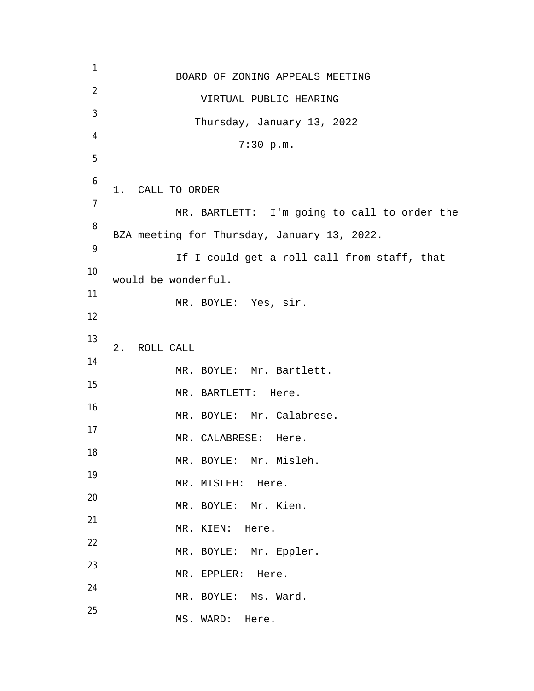1 BOARD OF ZONING APPEALS MEETING 2 VIRTUAL PUBLIC HEARING 3 Thursday, January 13, 2022 4 7:30 p.m. 5 6 1. CALL TO ORDER 7 MR. BARTLETT: I'm going to call to order the 8 BZA meeting for Thursday, January 13, 2022. 9 If I could get a roll call from staff, that 10 would be wonderful. 11 MR. BOYLE: Yes, sir. 12 13 2. ROLL CALL 14 MR. BOYLE: Mr. Bartlett. 15 MR. BARTLETT: Here. 16 MR. BOYLE: Mr. Calabrese. 17 MR. CALABRESE: Here. 18 MR. BOYLE: Mr. Misleh. 19 MR. MISLEH: Here. 20 MR. BOYLE: Mr. Kien. 21 MR. KIEN: Here. 22 MR. BOYLE: Mr. Eppler. 23 MR. EPPLER: Here. 24 MR. BOYLE: Ms. Ward. 25 MS. WARD: Here.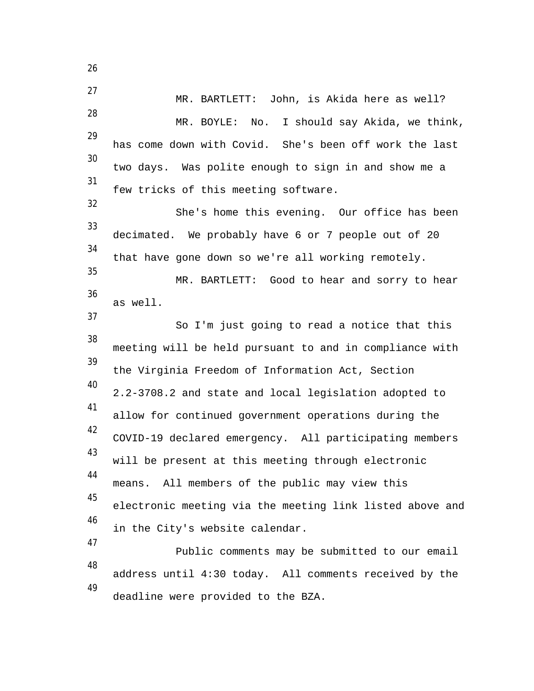27 MR. BARTLETT: John, is Akida here as well? 28 MR. BOYLE: No. I should say Akida, we think, 29 has come down with Covid. She's been off work the last 30 two days. Was polite enough to sign in and show me a 31 few tricks of this meeting software. 32 She's home this evening. Our office has been 33 decimated. We probably have 6 or 7 people out of 20 34 that have gone down so we're all working remotely. 35 MR. BARTLETT: Good to hear and sorry to hear 36 as well. 37 So I'm just going to read a notice that this 38 meeting will be held pursuant to and in compliance with 39 the Virginia Freedom of Information Act, Section 40 2.2-3708.2 and state and local legislation adopted to 41 allow for continued government operations during the 42 COVID-19 declared emergency. All participating members 43 will be present at this meeting through electronic 44 means. All members of the public may view this 45 electronic meeting via the meeting link listed above and 46 in the City's website calendar. 47 Public comments may be submitted to our email 48 address until 4:30 today. All comments received by the 49 deadline were provided to the BZA.

26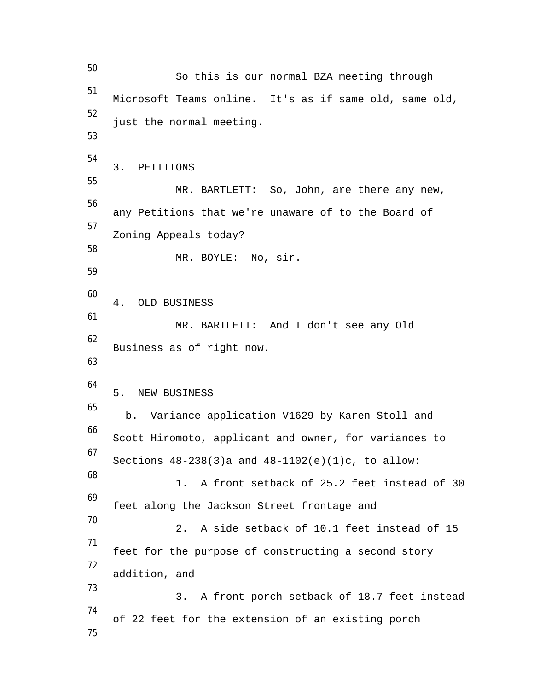50 So this is our normal BZA meeting through 51 Microsoft Teams online. It's as if same old, same old, 52 just the normal meeting. 53 54 3. PETITIONS 55 MR. BARTLETT: So, John, are there any new, 56 any Petitions that we're unaware of to the Board of 57 Zoning Appeals today? 58 MR. BOYLE: No, sir. 59 60 4. OLD BUSINESS 61 MR. BARTLETT: And I don't see any Old 62 Business as of right now. 63 64 5. NEW BUSINESS 65 b. Variance application V1629 by Karen Stoll and 66 Scott Hiromoto, applicant and owner, for variances to 67 Sections  $48-238(3)$ a and  $48-1102(e)(1)c$ , to allow: 68 1. A front setback of 25.2 feet instead of 30 69 feet along the Jackson Street frontage and 70 2. A side setback of 10.1 feet instead of 15 71 feet for the purpose of constructing a second story 72 addition, and 73 3. A front porch setback of 18.7 feet instead 74 of 22 feet for the extension of an existing porch 75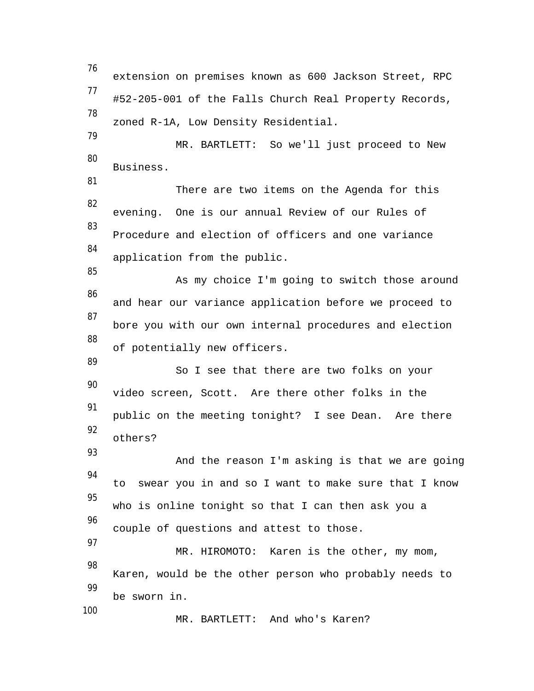76 extension on premises known as 600 Jackson Street, RPC 77 #52-205-001 of the Falls Church Real Property Records, 78 zoned R-1A, Low Density Residential. 79 MR. BARTLETT: So we'll just proceed to New 80 Business. 81 There are two items on the Agenda for this 82 evening. One is our annual Review of our Rules of 83 Procedure and election of officers and one variance 84 application from the public. 85 As my choice I'm going to switch those around 86 and hear our variance application before we proceed to 87 bore you with our own internal procedures and election 88 of potentially new officers. 89 So I see that there are two folks on your 90 video screen, Scott. Are there other folks in the 91 public on the meeting tonight? I see Dean. Are there 92 others? 93 And the reason I'm asking is that we are going 94 to swear you in and so I want to make sure that I know 95 who is online tonight so that I can then ask you a 96 couple of questions and attest to those. 97 MR. HIROMOTO: Karen is the other, my mom, 98 Karen, would be the other person who probably needs to 99 be sworn in. 100 MR. BARTLETT: And who's Karen?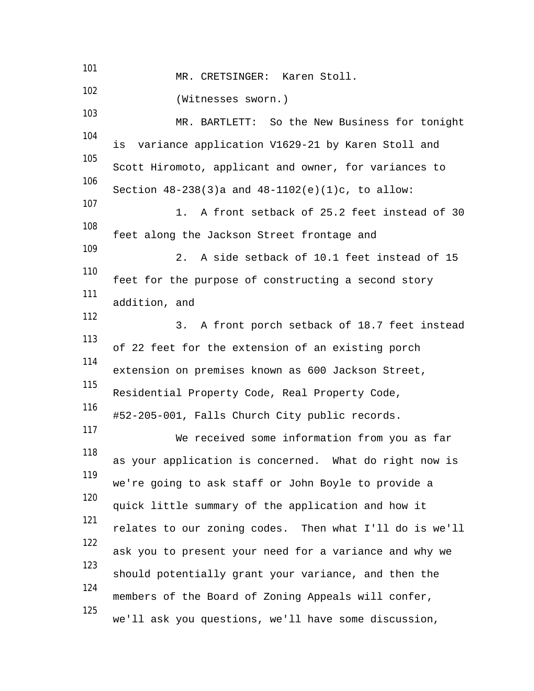101 MR. CRETSINGER: Karen Stoll. 102 (Witnesses sworn.) 103 MR. BARTLETT: So the New Business for tonight 104 is variance application V1629-21 by Karen Stoll and 105 Scott Hiromoto, applicant and owner, for variances to 106 Section 48-238(3)a and 48-1102(e)(1)c, to allow: 107 1. A front setback of 25.2 feet instead of 30 108 feet along the Jackson Street frontage and 109 2. A side setback of 10.1 feet instead of 15 110 feet for the purpose of constructing a second story 111 addition, and 112 3. A front porch setback of 18.7 feet instead 113 of 22 feet for the extension of an existing porch 114 extension on premises known as 600 Jackson Street, 115 Residential Property Code, Real Property Code, 116 #52-205-001, Falls Church City public records. 117 We received some information from you as far 118 as your application is concerned. What do right now is 119 we're going to ask staff or John Boyle to provide a 120 quick little summary of the application and how it 121 relates to our zoning codes. Then what I'll do is we'll 122 ask you to present your need for a variance and why we 123 should potentially grant your variance, and then the 124 members of the Board of Zoning Appeals will confer, 125 we'll ask you questions, we'll have some discussion,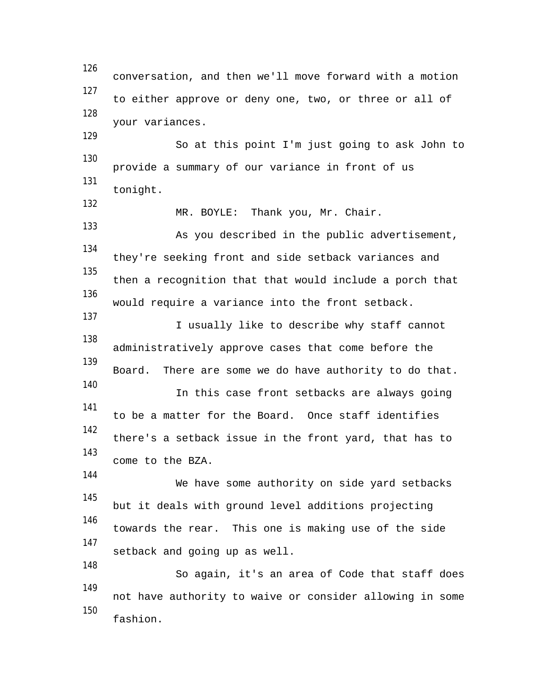126 conversation, and then we'll move forward with a motion 127 to either approve or deny one, two, or three or all of 128 your variances. 129 So at this point I'm just going to ask John to 130 provide a summary of our variance in front of us 131 tonight. 132 MR. BOYLE: Thank you, Mr. Chair. 133 As you described in the public advertisement, 134 they're seeking front and side setback variances and 135 then a recognition that that would include a porch that 136 would require a variance into the front setback. 137 I usually like to describe why staff cannot 138 administratively approve cases that come before the 139 Board. There are some we do have authority to do that. 140 In this case front setbacks are always going 141 to be a matter for the Board. Once staff identifies 142 there's a setback issue in the front yard, that has to 143 come to the BZA. 144 We have some authority on side yard setbacks 145 but it deals with ground level additions projecting 146 towards the rear. This one is making use of the side 147 setback and going up as well. 148 So again, it's an area of Code that staff does 149 not have authority to waive or consider allowing in some 150 fashion.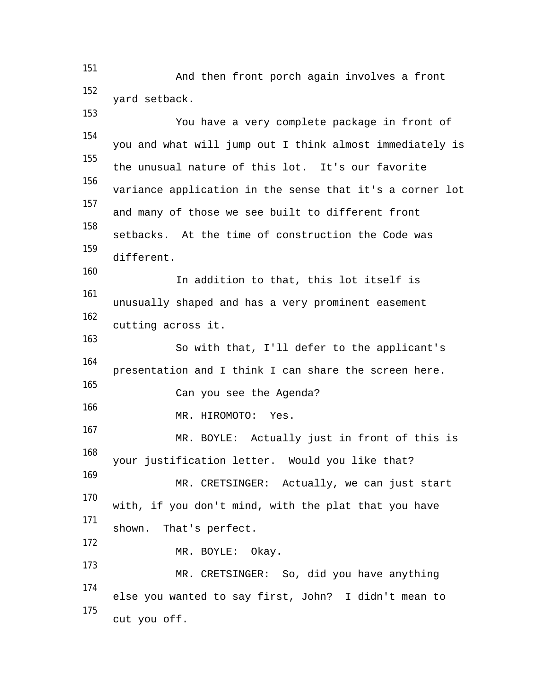151 And then front porch again involves a front 152 yard setback.

153 You have a very complete package in front of 154 you and what will jump out I think almost immediately is 155 the unusual nature of this lot. It's our favorite 156 variance application in the sense that it's a corner lot 157 and many of those we see built to different front 158 setbacks. At the time of construction the Code was 159 different. 160 In addition to that, this lot itself is 161 unusually shaped and has a very prominent easement 162 cutting across it. 163 So with that, I'll defer to the applicant's 164 presentation and I think I can share the screen here. 165 Can you see the Agenda? 166 MR. HIROMOTO: Yes. 167 MR. BOYLE: Actually just in front of this is 168 your justification letter. Would you like that? 169 MR. CRETSINGER: Actually, we can just start 170 with, if you don't mind, with the plat that you have 171 shown. That's perfect. 172 MR. BOYLE: Okay. 173 MR. CRETSINGER: So, did you have anything 174 else you wanted to say first, John? I didn't mean to 175 cut you off.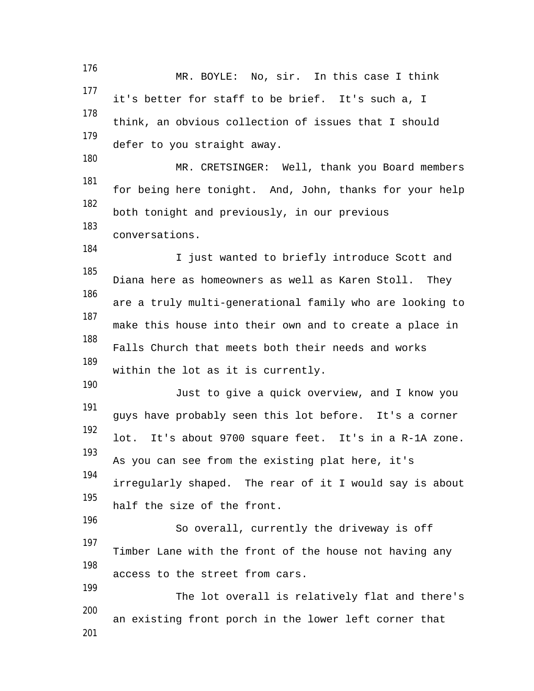176 MR. BOYLE: No, sir. In this case I think 177 it's better for staff to be brief. It's such a, I 178 think, an obvious collection of issues that I should 179 defer to you straight away. 180 MR. CRETSINGER: Well, thank you Board members 181 for being here tonight. And, John, thanks for your help 182 both tonight and previously, in our previous 183 conversations. 184 I just wanted to briefly introduce Scott and 185 Diana here as homeowners as well as Karen Stoll. They 186 are a truly multi-generational family who are looking to 187 make this house into their own and to create a place in 188 Falls Church that meets both their needs and works 189 within the lot as it is currently. 190 Just to give a quick overview, and I know you 191 guys have probably seen this lot before. It's a corner 192 lot. It's about 9700 square feet. It's in a R-1A zone. 193 As you can see from the existing plat here, it's 194 irregularly shaped. The rear of it I would say is about 195 half the size of the front. 196 So overall, currently the driveway is off 197 Timber Lane with the front of the house not having any 198 access to the street from cars. 199 The lot overall is relatively flat and there's 200 an existing front porch in the lower left corner that 201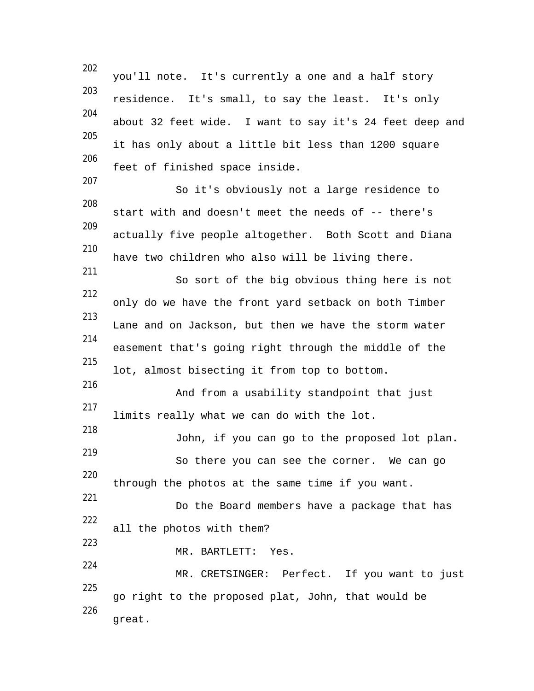202 you'll note. It's currently a one and a half story 203 residence. It's small, to say the least. It's only 204 about 32 feet wide. I want to say it's 24 feet deep and 205 it has only about a little bit less than 1200 square 206 feet of finished space inside. 207 So it's obviously not a large residence to 208 start with and doesn't meet the needs of -- there's 209 actually five people altogether. Both Scott and Diana 210 have two children who also will be living there. 211 So sort of the big obvious thing here is not 212 only do we have the front yard setback on both Timber 213 Lane and on Jackson, but then we have the storm water 214 easement that's going right through the middle of the 215 lot, almost bisecting it from top to bottom. 216 And from a usability standpoint that just 217 limits really what we can do with the lot. 218 John, if you can go to the proposed lot plan. 219 So there you can see the corner. We can go 220 through the photos at the same time if you want. 221 Do the Board members have a package that has 222 all the photos with them? 223 MR. BARTLETT: Yes. 224 MR. CRETSINGER: Perfect. If you want to just 225 go right to the proposed plat, John, that would be 226 great.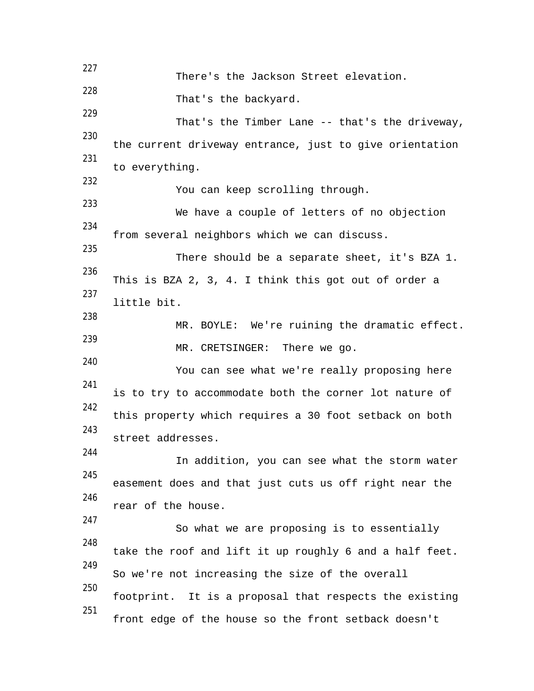227 There's the Jackson Street elevation. 228 That's the backyard. 229 That's the Timber Lane -- that's the driveway, 230 the current driveway entrance, just to give orientation 231 to everything. 232 You can keep scrolling through. 233 We have a couple of letters of no objection 234 from several neighbors which we can discuss. 235 There should be a separate sheet, it's BZA 1. 236 This is BZA 2, 3, 4. I think this got out of order a 237 little bit. 238 MR. BOYLE: We're ruining the dramatic effect. 239 MR. CRETSINGER: There we go. 240 You can see what we're really proposing here 241 is to try to accommodate both the corner lot nature of 242 this property which requires a 30 foot setback on both 243 street addresses. 244 In addition, you can see what the storm water 245 easement does and that just cuts us off right near the 246 rear of the house. 247 So what we are proposing is to essentially 248 take the roof and lift it up roughly 6 and a half feet. 249 So we're not increasing the size of the overall 250 footprint. It is a proposal that respects the existing 251 front edge of the house so the front setback doesn't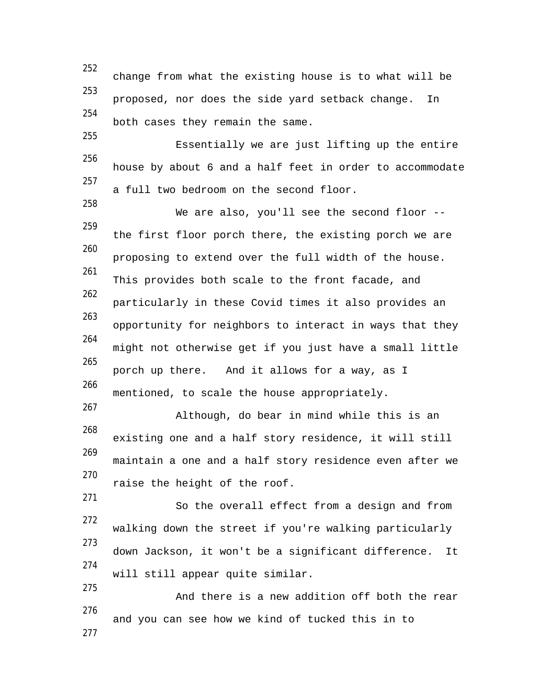252 change from what the existing house is to what will be 253 proposed, nor does the side yard setback change. In 254 both cases they remain the same. 255 Essentially we are just lifting up the entire 256 house by about 6 and a half feet in order to accommodate 257 a full two bedroom on the second floor. 258 We are also, you'll see the second floor --259 the first floor porch there, the existing porch we are 260 proposing to extend over the full width of the house. 261 This provides both scale to the front facade, and 262 particularly in these Covid times it also provides an 263 opportunity for neighbors to interact in ways that they 264 might not otherwise get if you just have a small little 265 porch up there. And it allows for a way, as I 266 mentioned, to scale the house appropriately. 267 Although, do bear in mind while this is an 268 existing one and a half story residence, it will still 269 maintain a one and a half story residence even after we 270 raise the height of the roof. 271 So the overall effect from a design and from 272 walking down the street if you're walking particularly 273 down Jackson, it won't be a significant difference. It 274 will still appear quite similar. 275 And there is a new addition off both the rear 276 and you can see how we kind of tucked this in to 277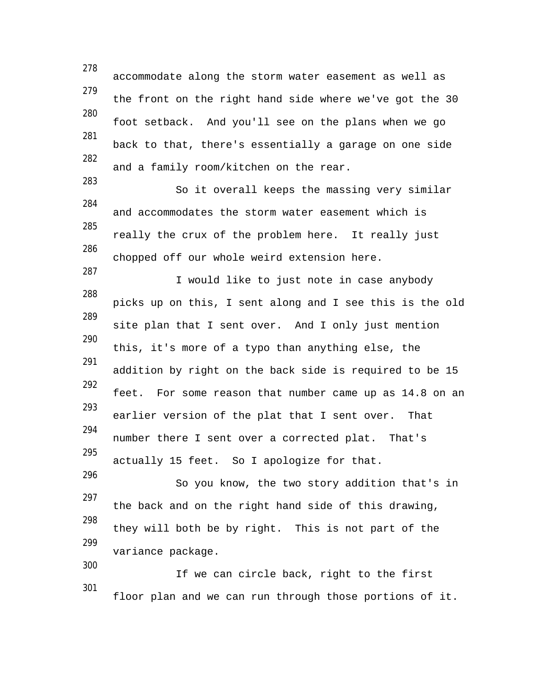278 accommodate along the storm water easement as well as 279 the front on the right hand side where we've got the 30 280 foot setback. And you'll see on the plans when we go 281 back to that, there's essentially a garage on one side 282 and a family room/kitchen on the rear. 283 So it overall keeps the massing very similar 284 and accommodates the storm water easement which is 285 really the crux of the problem here. It really just 286 chopped off our whole weird extension here. 287 I would like to just note in case anybody 288 picks up on this, I sent along and I see this is the old 289 site plan that I sent over. And I only just mention 290 this, it's more of a typo than anything else, the 291 addition by right on the back side is required to be 15 292 feet. For some reason that number came up as 14.8 on an 293 earlier version of the plat that I sent over. That 294 number there I sent over a corrected plat. That's 295 actually 15 feet. So I apologize for that. 296 So you know, the two story addition that's in 297 the back and on the right hand side of this drawing, 298 they will both be by right. This is not part of the 299 variance package. 300 If we can circle back, right to the first 301 floor plan and we can run through those portions of it.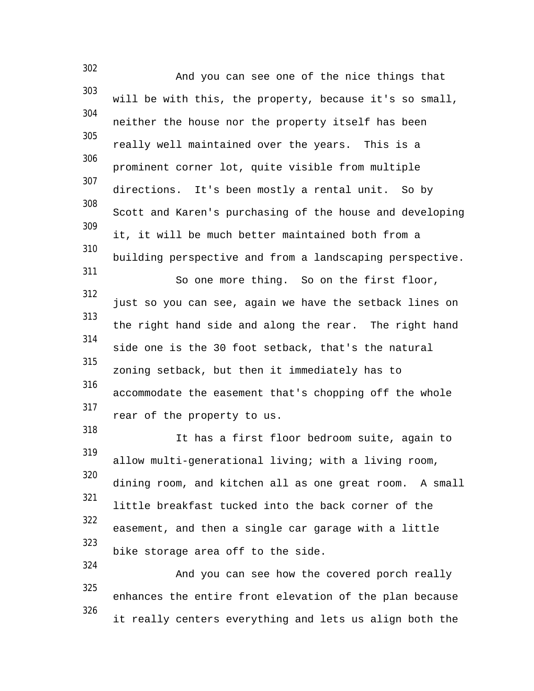302 And you can see one of the nice things that 303 will be with this, the property, because it's so small, 304 neither the house nor the property itself has been 305 really well maintained over the years. This is a 306 prominent corner lot, quite visible from multiple 307 directions. It's been mostly a rental unit. So by 308 Scott and Karen's purchasing of the house and developing 309 it, it will be much better maintained both from a 310 building perspective and from a landscaping perspective. 311 So one more thing. So on the first floor, 312 just so you can see, again we have the setback lines on 313 the right hand side and along the rear. The right hand 314 side one is the 30 foot setback, that's the natural 315 zoning setback, but then it immediately has to 316 accommodate the easement that's chopping off the whole 317 rear of the property to us. 318 It has a first floor bedroom suite, again to 319 allow multi-generational living; with a living room, 320 dining room, and kitchen all as one great room. A small 321 little breakfast tucked into the back corner of the 322 easement, and then a single car garage with a little 323 bike storage area off to the side. 324 And you can see how the covered porch really 325 enhances the entire front elevation of the plan because 326 it really centers everything and lets us align both the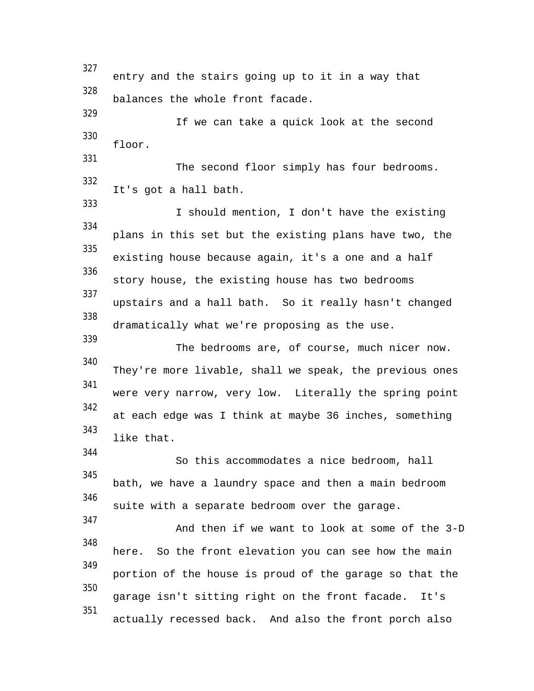327 entry and the stairs going up to it in a way that 328 balances the whole front facade. 329 If we can take a quick look at the second 330 floor. 331 The second floor simply has four bedrooms. 332 It's got a hall bath. 333 I should mention, I don't have the existing 334 plans in this set but the existing plans have two, the 335 existing house because again, it's a one and a half 336 story house, the existing house has two bedrooms 337 upstairs and a hall bath. So it really hasn't changed 338 dramatically what we're proposing as the use. 339 The bedrooms are, of course, much nicer now. 340 They're more livable, shall we speak, the previous ones 341 were very narrow, very low. Literally the spring point 342 at each edge was I think at maybe 36 inches, something 343 like that. 344 So this accommodates a nice bedroom, hall 345 bath, we have a laundry space and then a main bedroom 346 suite with a separate bedroom over the garage. 347 And then if we want to look at some of the 3-D 348 here. So the front elevation you can see how the main 349 portion of the house is proud of the garage so that the 350 garage isn't sitting right on the front facade. It's 351 actually recessed back. And also the front porch also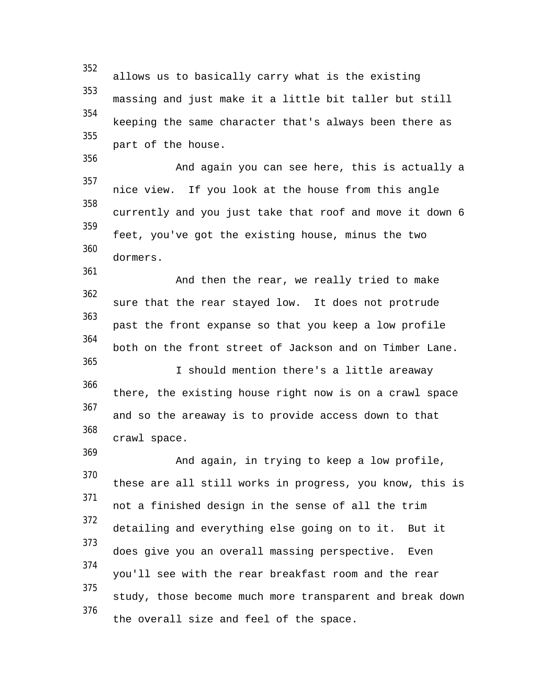352 allows us to basically carry what is the existing 353 massing and just make it a little bit taller but still 354 keeping the same character that's always been there as 355 part of the house. 356 And again you can see here, this is actually a 357 nice view. If you look at the house from this angle 358 currently and you just take that roof and move it down 6 359 feet, you've got the existing house, minus the two 360 dormers. 361 And then the rear, we really tried to make 362 sure that the rear stayed low. It does not protrude 363 past the front expanse so that you keep a low profile 364 both on the front street of Jackson and on Timber Lane. 365 I should mention there's a little areaway 366 there, the existing house right now is on a crawl space 367 and so the areaway is to provide access down to that 368 crawl space. 369 And again, in trying to keep a low profile, 370 these are all still works in progress, you know, this is 371 not a finished design in the sense of all the trim 372 detailing and everything else going on to it. But it 373 does give you an overall massing perspective. Even 374 you'll see with the rear breakfast room and the rear 375 study, those become much more transparent and break down 376 the overall size and feel of the space.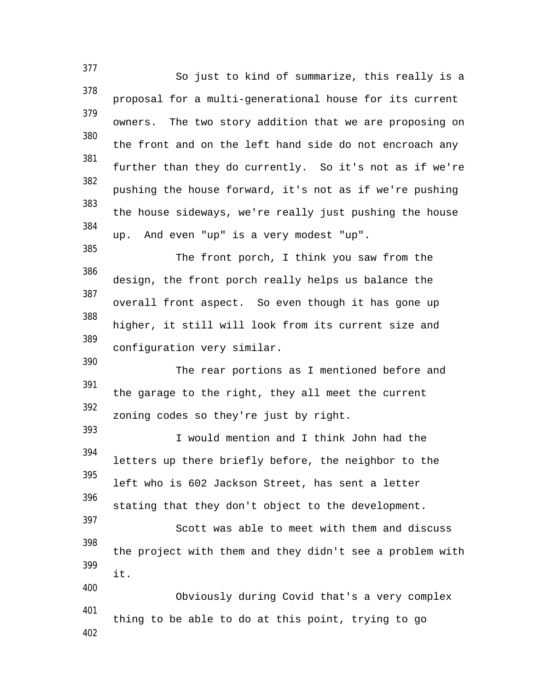377 So just to kind of summarize, this really is a 378 proposal for a multi-generational house for its current 379 owners. The two story addition that we are proposing on 380 the front and on the left hand side do not encroach any 381 further than they do currently. So it's not as if we're 382 pushing the house forward, it's not as if we're pushing 383 the house sideways, we're really just pushing the house 384 up. And even "up" is a very modest "up". 385 The front porch, I think you saw from the 386 design, the front porch really helps us balance the 387 overall front aspect. So even though it has gone up 388 higher, it still will look from its current size and 389 configuration very similar. 390 The rear portions as I mentioned before and 391 the garage to the right, they all meet the current 392 zoning codes so they're just by right. 393 I would mention and I think John had the 394 letters up there briefly before, the neighbor to the 395 left who is 602 Jackson Street, has sent a letter 396 stating that they don't object to the development. 397 Scott was able to meet with them and discuss 398 the project with them and they didn't see a problem with 399 it. 400 Obviously during Covid that's a very complex 401 thing to be able to do at this point, trying to go 402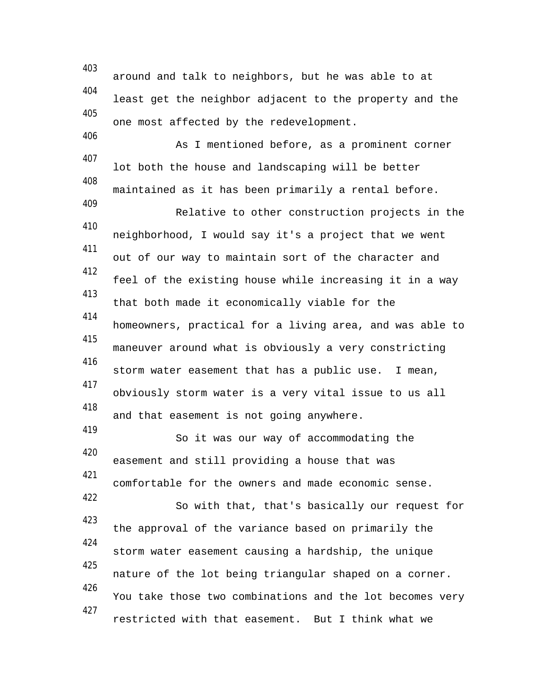403 around and talk to neighbors, but he was able to at 404 least get the neighbor adjacent to the property and the 405 one most affected by the redevelopment. 406 As I mentioned before, as a prominent corner 407 lot both the house and landscaping will be better 408 maintained as it has been primarily a rental before. 409 Relative to other construction projects in the 410 neighborhood, I would say it's a project that we went 411 out of our way to maintain sort of the character and 412 feel of the existing house while increasing it in a way 413 that both made it economically viable for the 414 homeowners, practical for a living area, and was able to 415 maneuver around what is obviously a very constricting 416 storm water easement that has a public use. I mean, 417 obviously storm water is a very vital issue to us all 418 and that easement is not going anywhere. 419 So it was our way of accommodating the 420 easement and still providing a house that was 421 comfortable for the owners and made economic sense. 422 So with that, that's basically our request for 423 the approval of the variance based on primarily the 424 storm water easement causing a hardship, the unique 425 nature of the lot being triangular shaped on a corner. 426 You take those two combinations and the lot becomes very 427 restricted with that easement. But I think what we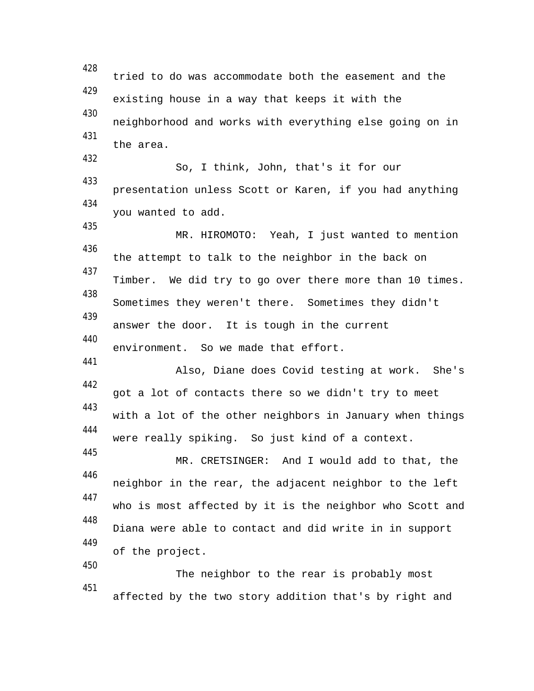428 tried to do was accommodate both the easement and the 429 existing house in a way that keeps it with the 430 neighborhood and works with everything else going on in 431 the area. 432 So, I think, John, that's it for our 433 presentation unless Scott or Karen, if you had anything 434 you wanted to add. 435 MR. HIROMOTO: Yeah, I just wanted to mention 436 the attempt to talk to the neighbor in the back on 437 Timber. We did try to go over there more than 10 times. 438 Sometimes they weren't there. Sometimes they didn't 439 answer the door. It is tough in the current 440 environment. So we made that effort. 441 Also, Diane does Covid testing at work. She's 442 got a lot of contacts there so we didn't try to meet 443 with a lot of the other neighbors in January when things 444 were really spiking. So just kind of a context. 445 MR. CRETSINGER: And I would add to that, the 446 neighbor in the rear, the adjacent neighbor to the left 447 who is most affected by it is the neighbor who Scott and 448 Diana were able to contact and did write in in support 449 of the project. 450 The neighbor to the rear is probably most 451 affected by the two story addition that's by right and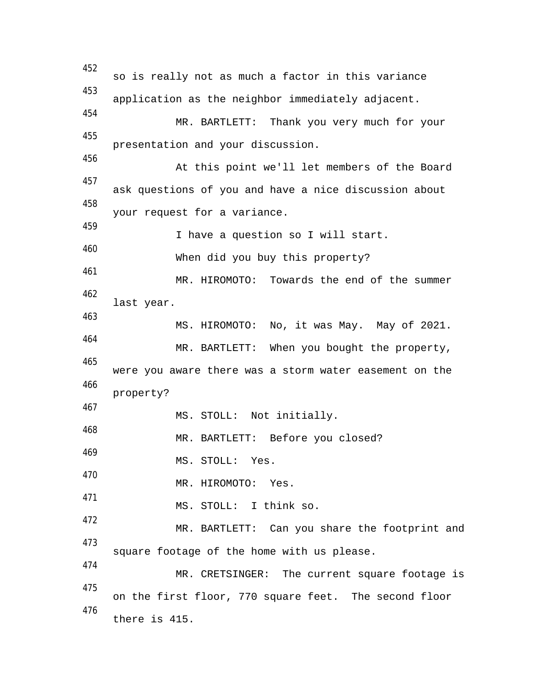452 so is really not as much a factor in this variance 453 application as the neighbor immediately adjacent. 454 MR. BARTLETT: Thank you very much for your 455 presentation and your discussion. 456 At this point we'll let members of the Board 457 ask questions of you and have a nice discussion about 458 your request for a variance. 459 I have a question so I will start. 460 When did you buy this property? 461 MR. HIROMOTO: Towards the end of the summer 462 last year. 463 MS. HIROMOTO: No, it was May. May of 2021. 464 MR. BARTLETT: When you bought the property, 465 were you aware there was a storm water easement on the 466 property? 467 MS. STOLL: Not initially. 468 MR. BARTLETT: Before you closed? 469 MS. STOLL: Yes. 470 MR. HIROMOTO: Yes. 471 MS. STOLL: I think so. 472 MR. BARTLETT: Can you share the footprint and 473 square footage of the home with us please. 474 MR. CRETSINGER: The current square footage is 475 on the first floor, 770 square feet. The second floor 476 there is 415.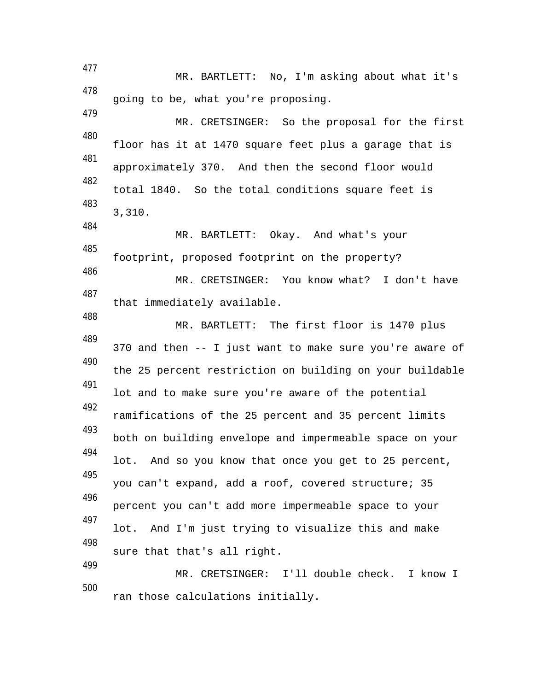MR. BARTLETT: No, I'm asking about what it's 478 going to be, what you're proposing. 479 MR. CRETSINGER: So the proposal for the first 480 floor has it at 1470 square feet plus a garage that is 481 approximately 370. And then the second floor would 482 total 1840. So the total conditions square feet is 483 3,310. 484 MR. BARTLETT: Okay. And what's your 485 footprint, proposed footprint on the property? 486 MR. CRETSINGER: You know what? I don't have 487 that immediately available. 488 MR. BARTLETT: The first floor is 1470 plus 489 370 and then -- I just want to make sure you're aware of 490 the 25 percent restriction on building on your buildable 491 lot and to make sure you're aware of the potential 492 ramifications of the 25 percent and 35 percent limits 493 both on building envelope and impermeable space on your 494 lot. And so you know that once you get to 25 percent, 495 you can't expand, add a roof, covered structure; 35 496 percent you can't add more impermeable space to your 497 lot. And I'm just trying to visualize this and make 498 sure that that's all right. 499 MR. CRETSINGER: I'll double check. I know I 500 ran those calculations initially.

477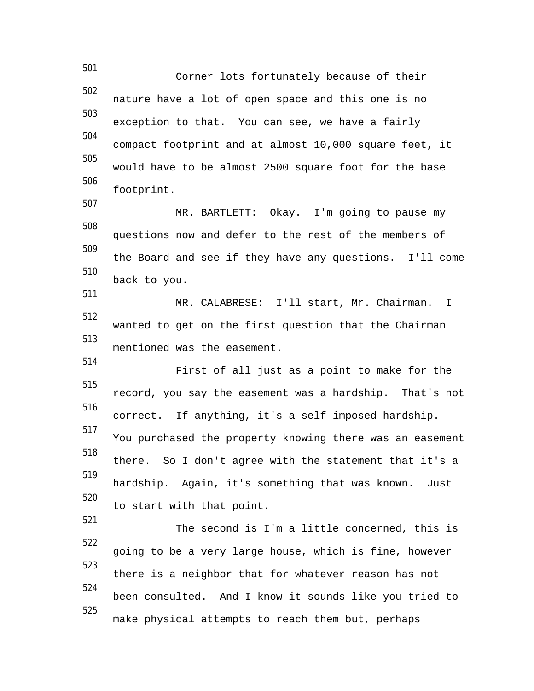501 Corner lots fortunately because of their 502 nature have a lot of open space and this one is no 503 exception to that. You can see, we have a fairly 504 compact footprint and at almost 10,000 square feet, it 505 would have to be almost 2500 square foot for the base 506 footprint. 507 MR. BARTLETT: Okay. I'm going to pause my 508 questions now and defer to the rest of the members of 509 the Board and see if they have any questions. I'll come 510 back to you. 511 MR. CALABRESE: I'll start, Mr. Chairman. I 512 wanted to get on the first question that the Chairman 513 mentioned was the easement. 514 First of all just as a point to make for the 515 record, you say the easement was a hardship. That's not 516 correct. If anything, it's a self-imposed hardship. 517 You purchased the property knowing there was an easement 518 there. So I don't agree with the statement that it's a 519 hardship. Again, it's something that was known. Just 520 to start with that point. 521 The second is I'm a little concerned, this is 522 going to be a very large house, which is fine, however 523 there is a neighbor that for whatever reason has not 524 been consulted. And I know it sounds like you tried to 525 make physical attempts to reach them but, perhaps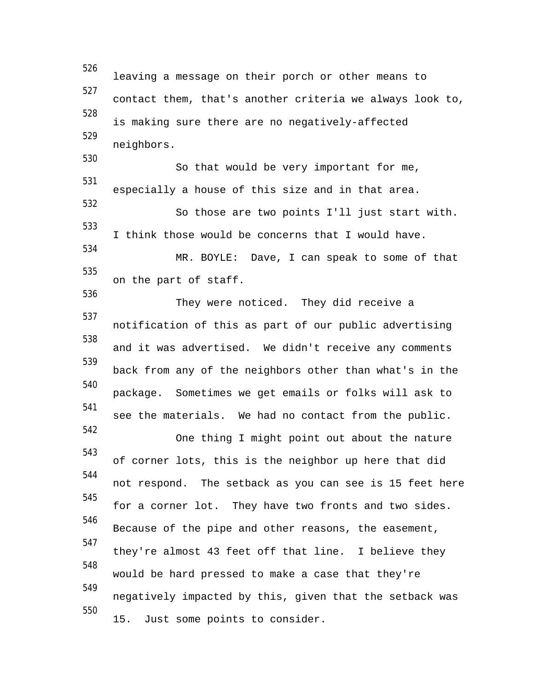526 leaving a message on their porch or other means to 527 contact them, that's another criteria we always look to, 528 is making sure there are no negatively-affected 529 neighbors. 530 So that would be very important for me, 531 especially a house of this size and in that area. 532 So those are two points I'll just start with. 533 I think those would be concerns that I would have. 534 MR. BOYLE: Dave, I can speak to some of that 535 on the part of staff. 536 They were noticed. They did receive a 537 notification of this as part of our public advertising 538 and it was advertised. We didn't receive any comments 539 back from any of the neighbors other than what's in the 540 package. Sometimes we get emails or folks will ask to 541 see the materials. We had no contact from the public. 542 One thing I might point out about the nature 543 of corner lots, this is the neighbor up here that did 544 not respond. The setback as you can see is 15 feet here 545 for a corner lot. They have two fronts and two sides. 546 Because of the pipe and other reasons, the easement, 547 they're almost 43 feet off that line. I believe they 548 would be hard pressed to make a case that they're 549 negatively impacted by this, given that the setback was 550 15. Just some points to consider.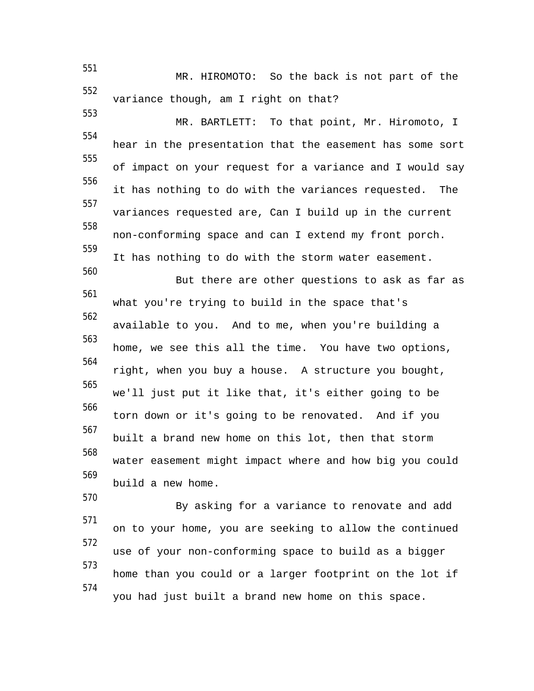551 MR. HIROMOTO: So the back is not part of the 552 variance though, am I right on that?

553 MR. BARTLETT: To that point, Mr. Hiromoto, I 554 hear in the presentation that the easement has some sort 555 of impact on your request for a variance and I would say 556 it has nothing to do with the variances requested. The 557 variances requested are, Can I build up in the current 558 non-conforming space and can I extend my front porch. 559 It has nothing to do with the storm water easement. 560 But there are other questions to ask as far as 561 what you're trying to build in the space that's 562 available to you. And to me, when you're building a 563 home, we see this all the time. You have two options, 564 right, when you buy a house. A structure you bought, 565 we'll just put it like that, it's either going to be 566 torn down or it's going to be renovated. And if you 567 built a brand new home on this lot, then that storm 568

water easement might impact where and how big you could 569 build a new home.

570

By asking for a variance to renovate and add 571 on to your home, you are seeking to allow the continued 572 use of your non-conforming space to build as a bigger 573 home than you could or a larger footprint on the lot if 574 you had just built a brand new home on this space.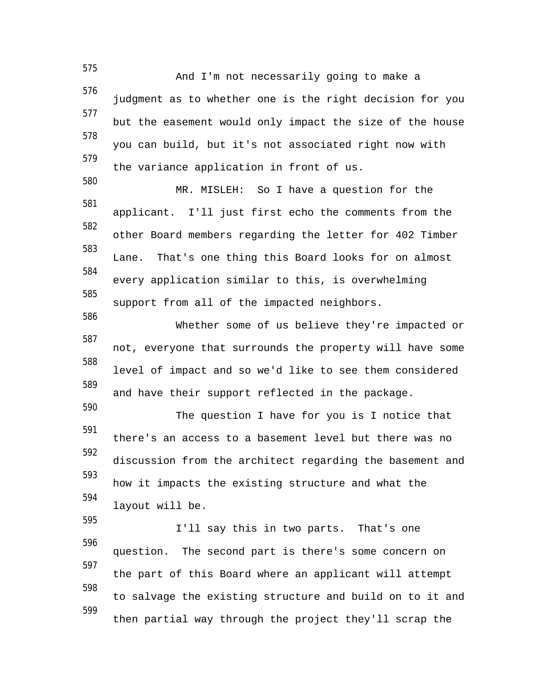575 And I'm not necessarily going to make a 576 judgment as to whether one is the right decision for you 577 but the easement would only impact the size of the house 578 you can build, but it's not associated right now with 579 the variance application in front of us. 580 MR. MISLEH: So I have a question for the 581 applicant. I'll just first echo the comments from the 582 other Board members regarding the letter for 402 Timber 583 Lane. That's one thing this Board looks for on almost 584 every application similar to this, is overwhelming 585 support from all of the impacted neighbors. 586 Whether some of us believe they're impacted or 587 not, everyone that surrounds the property will have some 588 level of impact and so we'd like to see them considered 589 and have their support reflected in the package. 590 The question I have for you is I notice that 591 there's an access to a basement level but there was no 592 discussion from the architect regarding the basement and 593 how it impacts the existing structure and what the 594 layout will be. 595 I'll say this in two parts. That's one 596 question. The second part is there's some concern on 597 the part of this Board where an applicant will attempt 598 to salvage the existing structure and build on to it and 599 then partial way through the project they'll scrap the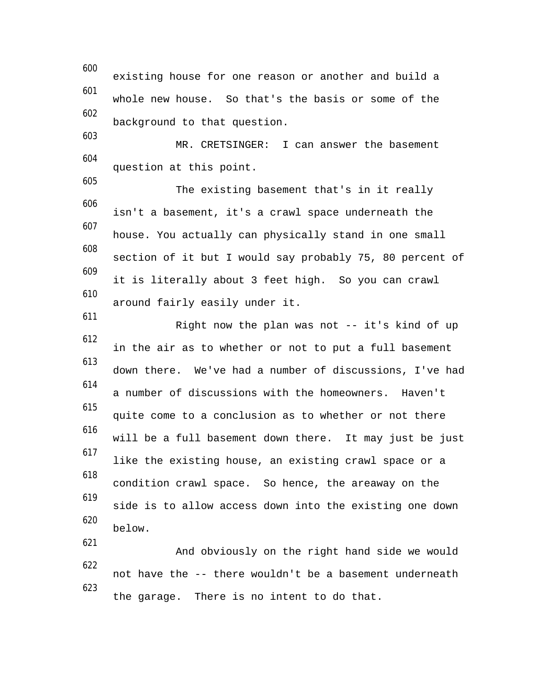600 existing house for one reason or another and build a 601 whole new house. So that's the basis or some of the 602 background to that question. 603 MR. CRETSINGER: I can answer the basement 604 question at this point. 605 The existing basement that's in it really 606 isn't a basement, it's a crawl space underneath the 607 house. You actually can physically stand in one small 608 section of it but I would say probably 75, 80 percent of 609 it is literally about 3 feet high. So you can crawl 610 around fairly easily under it. 611 Right now the plan was not -- it's kind of up 612 in the air as to whether or not to put a full basement 613 down there. We've had a number of discussions, I've had 614 a number of discussions with the homeowners. Haven't 615 quite come to a conclusion as to whether or not there 616 will be a full basement down there. It may just be just 617 like the existing house, an existing crawl space or a 618 condition crawl space. So hence, the areaway on the 619 side is to allow access down into the existing one down 620 below. 621 And obviously on the right hand side we would 622 not have the -- there wouldn't be a basement underneath 623 the garage. There is no intent to do that.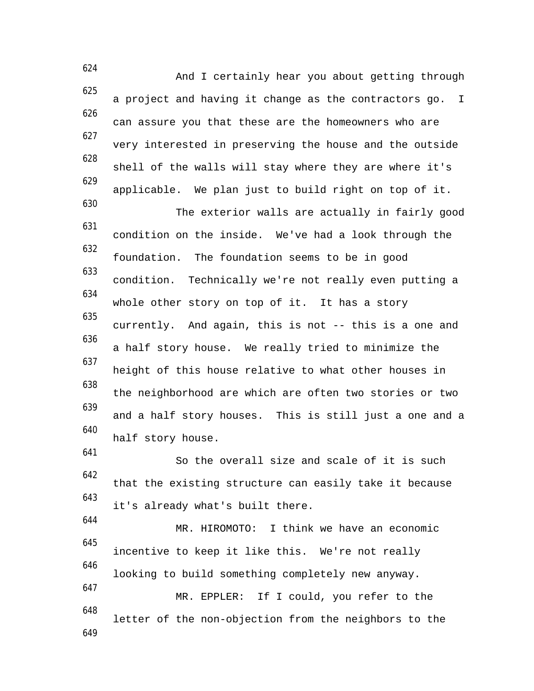624 And I certainly hear you about getting through 625 a project and having it change as the contractors go. I 626 can assure you that these are the homeowners who are 627 very interested in preserving the house and the outside 628 shell of the walls will stay where they are where it's 629 applicable. We plan just to build right on top of it. 630 The exterior walls are actually in fairly good 631 condition on the inside. We've had a look through the 632 foundation. The foundation seems to be in good 633 condition. Technically we're not really even putting a 634 whole other story on top of it. It has a story 635 currently. And again, this is not -- this is a one and 636 a half story house. We really tried to minimize the 637 height of this house relative to what other houses in 638 the neighborhood are which are often two stories or two 639 and a half story houses. This is still just a one and a 640 half story house. 641 So the overall size and scale of it is such 642 that the existing structure can easily take it because 643 it's already what's built there. 644 MR. HIROMOTO: I think we have an economic 645 incentive to keep it like this. We're not really 646 looking to build something completely new anyway. 647

MR. EPPLER: If I could, you refer to the 648 letter of the non-objection from the neighbors to the 649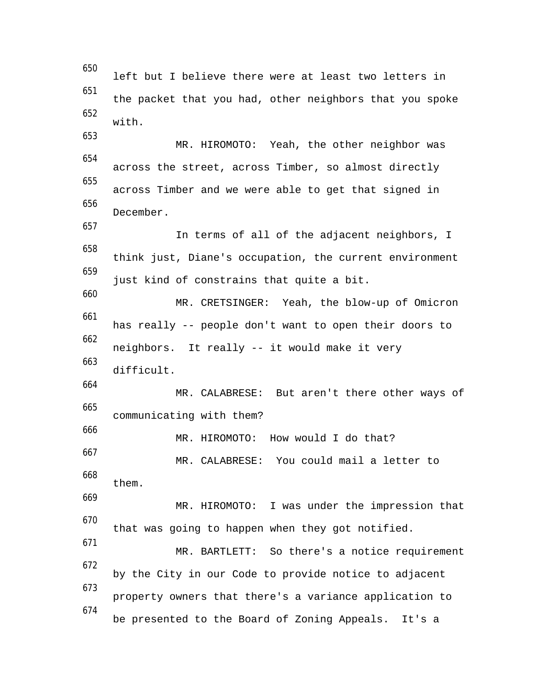650 left but I believe there were at least two letters in 651 the packet that you had, other neighbors that you spoke 652 with. 653 MR. HIROMOTO: Yeah, the other neighbor was 654 across the street, across Timber, so almost directly 655 across Timber and we were able to get that signed in 656 December. 657 In terms of all of the adjacent neighbors, I 658 think just, Diane's occupation, the current environment 659 just kind of constrains that quite a bit. 660 MR. CRETSINGER: Yeah, the blow-up of Omicron 661 has really -- people don't want to open their doors to 662 neighbors. It really -- it would make it very 663 difficult. 664 MR. CALABRESE: But aren't there other ways of 665 communicating with them? 666 MR. HIROMOTO: How would I do that? 667 MR. CALABRESE: You could mail a letter to 668 them. 669 MR. HIROMOTO: I was under the impression that 670 that was going to happen when they got notified. 671 MR. BARTLETT: So there's a notice requirement 672 by the City in our Code to provide notice to adjacent 673 property owners that there's a variance application to 674 be presented to the Board of Zoning Appeals. It's a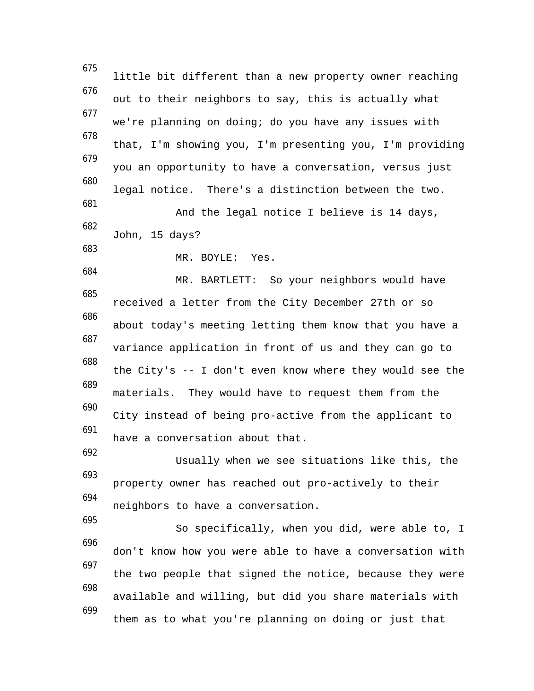675 little bit different than a new property owner reaching 676 out to their neighbors to say, this is actually what 677 we're planning on doing; do you have any issues with 678 that, I'm showing you, I'm presenting you, I'm providing 679 you an opportunity to have a conversation, versus just 680 legal notice. There's a distinction between the two. 681 And the legal notice I believe is 14 days, 682 John, 15 days? 683 MR. BOYLE: Yes. 684 MR. BARTLETT: So your neighbors would have 685 received a letter from the City December 27th or so 686 about today's meeting letting them know that you have a 687 variance application in front of us and they can go to 688 the City's -- I don't even know where they would see the 689 materials. They would have to request them from the 690 City instead of being pro-active from the applicant to 691 have a conversation about that. 692 Usually when we see situations like this, the 693 property owner has reached out pro-actively to their 694 neighbors to have a conversation. 695 So specifically, when you did, were able to, I 696 don't know how you were able to have a conversation with 697 the two people that signed the notice, because they were 698 available and willing, but did you share materials with 699 them as to what you're planning on doing or just that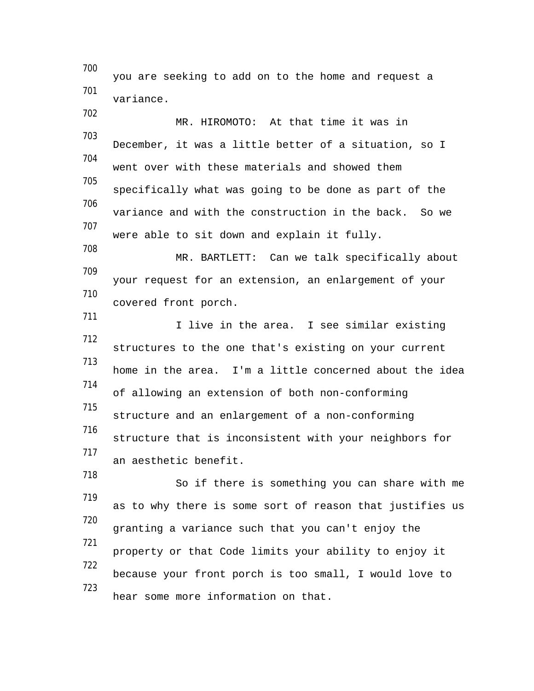700 you are seeking to add on to the home and request a 701 variance. 702 MR. HIROMOTO: At that time it was in 703 December, it was a little better of a situation, so I 704 went over with these materials and showed them 705 specifically what was going to be done as part of the 706 variance and with the construction in the back. So we 707 were able to sit down and explain it fully. 708 MR. BARTLETT: Can we talk specifically about 709 your request for an extension, an enlargement of your 710 covered front porch. 711 I live in the area. I see similar existing 712 structures to the one that's existing on your current 713 home in the area. I'm a little concerned about the idea 714 of allowing an extension of both non-conforming 715 structure and an enlargement of a non-conforming 716 structure that is inconsistent with your neighbors for 717 an aesthetic benefit. 718 So if there is something you can share with me 719 as to why there is some sort of reason that justifies us 720 granting a variance such that you can't enjoy the 721 property or that Code limits your ability to enjoy it 722 because your front porch is too small, I would love to 723 hear some more information on that.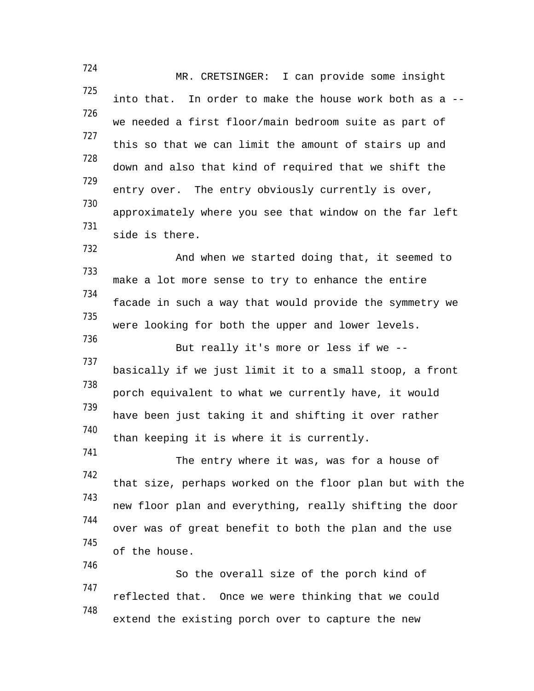724 MR. CRETSINGER: I can provide some insight 725 into that. In order to make the house work both as a -- 726 we needed a first floor/main bedroom suite as part of 727 this so that we can limit the amount of stairs up and 728 down and also that kind of required that we shift the 729 entry over. The entry obviously currently is over, 730 approximately where you see that window on the far left 731 side is there. 732 And when we started doing that, it seemed to 733 make a lot more sense to try to enhance the entire 734 facade in such a way that would provide the symmetry we 735 were looking for both the upper and lower levels. 736 But really it's more or less if we -- 737 basically if we just limit it to a small stoop, a front 738 porch equivalent to what we currently have, it would 739 have been just taking it and shifting it over rather 740 than keeping it is where it is currently. 741 The entry where it was, was for a house of 742 that size, perhaps worked on the floor plan but with the 743 new floor plan and everything, really shifting the door 744 over was of great benefit to both the plan and the use 745 of the house. 746 So the overall size of the porch kind of 747 reflected that. Once we were thinking that we could 748 extend the existing porch over to capture the new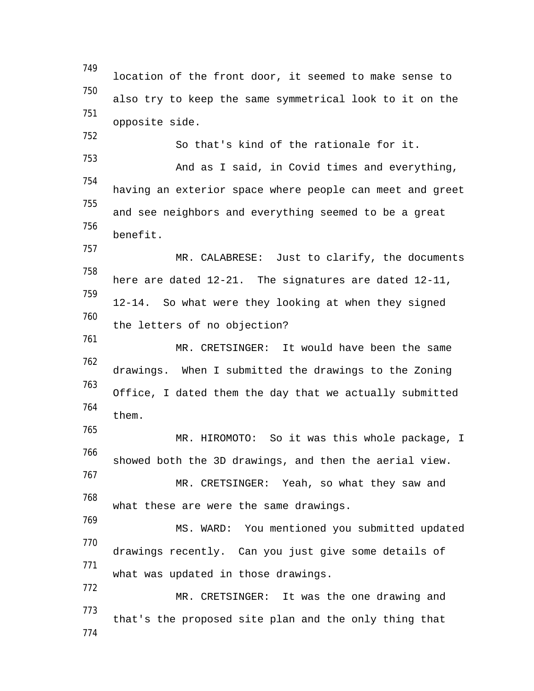749 location of the front door, it seemed to make sense to 750 also try to keep the same symmetrical look to it on the 751 opposite side. 752 So that's kind of the rationale for it. 753 And as I said, in Covid times and everything, 754 having an exterior space where people can meet and greet 755 and see neighbors and everything seemed to be a great 756 benefit. 757 MR. CALABRESE: Just to clarify, the documents 758 here are dated 12-21. The signatures are dated 12-11, 759 12-14. So what were they looking at when they signed 760 the letters of no objection? 761 MR. CRETSINGER: It would have been the same 762 drawings. When I submitted the drawings to the Zoning 763 Office, I dated them the day that we actually submitted 764 them. 765 MR. HIROMOTO: So it was this whole package, I 766 showed both the 3D drawings, and then the aerial view. 767 MR. CRETSINGER: Yeah, so what they saw and 768 what these are were the same drawings. 769 MS. WARD: You mentioned you submitted updated 770 drawings recently. Can you just give some details of 771 what was updated in those drawings. 772 MR. CRETSINGER: It was the one drawing and 773 that's the proposed site plan and the only thing that 774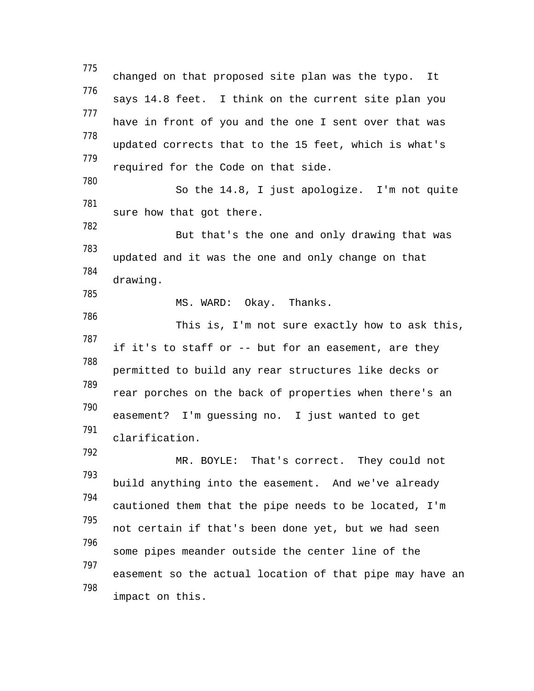775 changed on that proposed site plan was the typo. It 776 says 14.8 feet. I think on the current site plan you 777 have in front of you and the one I sent over that was 778 updated corrects that to the 15 feet, which is what's 779 required for the Code on that side. 780 So the 14.8, I just apologize. I'm not quite 781 sure how that got there. 782 But that's the one and only drawing that was 783 updated and it was the one and only change on that 784 drawing. 785 MS. WARD: Okay. Thanks. 786 This is, I'm not sure exactly how to ask this, 787 if it's to staff or -- but for an easement, are they 788 permitted to build any rear structures like decks or 789 rear porches on the back of properties when there's an 790 easement? I'm guessing no. I just wanted to get 791 clarification. 792 MR. BOYLE: That's correct. They could not 793 build anything into the easement. And we've already 794 cautioned them that the pipe needs to be located, I'm 795 not certain if that's been done yet, but we had seen 796 some pipes meander outside the center line of the 797 easement so the actual location of that pipe may have an 798 impact on this.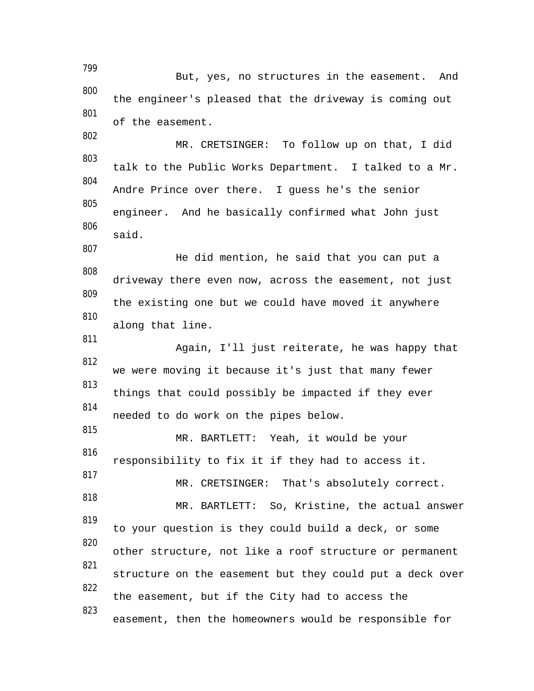799 But, yes, no structures in the easement. And 800 the engineer's pleased that the driveway is coming out 801 of the easement. 802 MR. CRETSINGER: To follow up on that, I did 803 talk to the Public Works Department. I talked to a Mr. 804 Andre Prince over there. I guess he's the senior 805 engineer. And he basically confirmed what John just 806 said. 807 He did mention, he said that you can put a 808 driveway there even now, across the easement, not just 809 the existing one but we could have moved it anywhere 810 along that line. 811 Again, I'll just reiterate, he was happy that 812 we were moving it because it's just that many fewer 813 things that could possibly be impacted if they ever 814 needed to do work on the pipes below. 815 MR. BARTLETT: Yeah, it would be your 816 responsibility to fix it if they had to access it. 817 MR. CRETSINGER: That's absolutely correct. 818 MR. BARTLETT: So, Kristine, the actual answer 819 to your question is they could build a deck, or some 820 other structure, not like a roof structure or permanent 821 structure on the easement but they could put a deck over 822 the easement, but if the City had to access the 823 easement, then the homeowners would be responsible for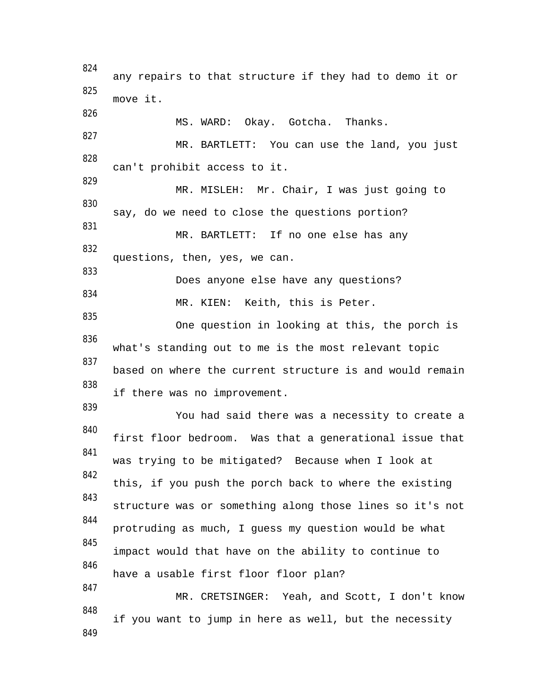824 any repairs to that structure if they had to demo it or 825 move it. 826 MS. WARD: Okay. Gotcha. Thanks. 827 MR. BARTLETT: You can use the land, you just 828 can't prohibit access to it. 829 MR. MISLEH: Mr. Chair, I was just going to 830 say, do we need to close the questions portion? 831 MR. BARTLETT: If no one else has any 832 questions, then, yes, we can. 833 Does anyone else have any questions? 834 MR. KIEN: Keith, this is Peter. 835 One question in looking at this, the porch is 836 what's standing out to me is the most relevant topic 837 based on where the current structure is and would remain 838 if there was no improvement. 839 You had said there was a necessity to create a 840 first floor bedroom. Was that a generational issue that 841 was trying to be mitigated? Because when I look at 842 this, if you push the porch back to where the existing 843 structure was or something along those lines so it's not 844 protruding as much, I guess my question would be what 845 impact would that have on the ability to continue to 846 have a usable first floor floor plan? 847 MR. CRETSINGER: Yeah, and Scott, I don't know 848 if you want to jump in here as well, but the necessity 849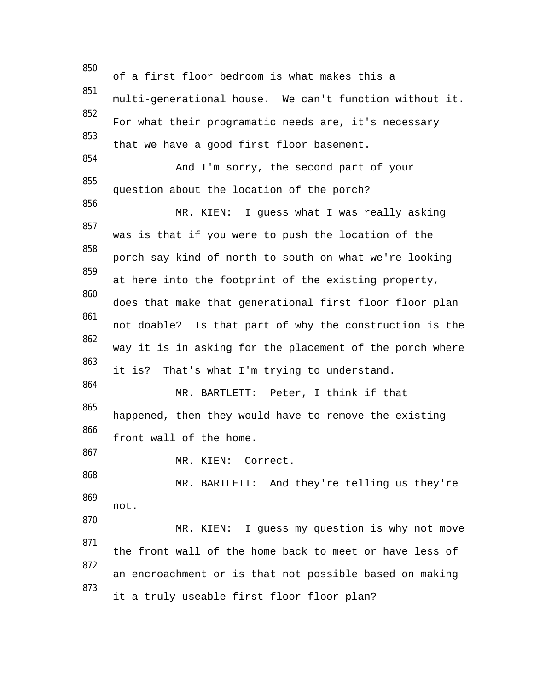850 of a first floor bedroom is what makes this a 851 multi-generational house. We can't function without it. 852 For what their programatic needs are, it's necessary 853 that we have a good first floor basement. 854 And I'm sorry, the second part of your 855 question about the location of the porch? 856 MR. KIEN: I guess what I was really asking 857 was is that if you were to push the location of the 858 porch say kind of north to south on what we're looking 859 at here into the footprint of the existing property, 860 does that make that generational first floor floor plan 861 not doable? Is that part of why the construction is the 862 way it is in asking for the placement of the porch where 863 it is? That's what I'm trying to understand. 864 MR. BARTLETT: Peter, I think if that 865 happened, then they would have to remove the existing 866 front wall of the home. 867 MR. KIEN: Correct. 868 MR. BARTLETT: And they're telling us they're 869 not. 870 MR. KIEN: I guess my question is why not move 871 the front wall of the home back to meet or have less of 872 an encroachment or is that not possible based on making 873 it a truly useable first floor floor plan?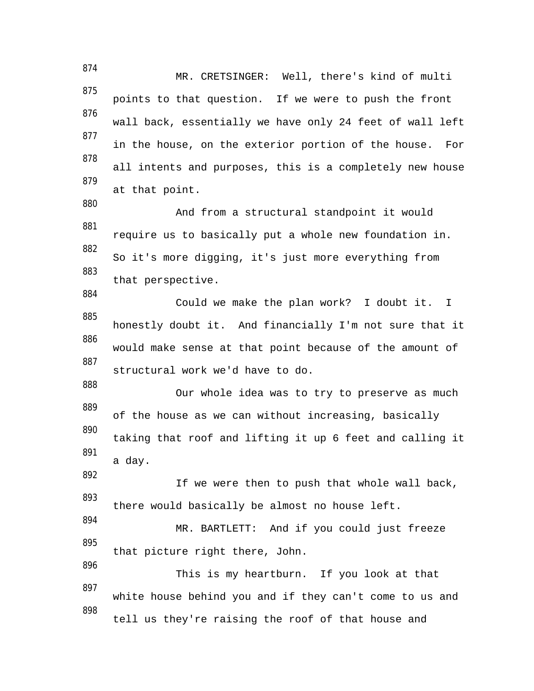874 MR. CRETSINGER: Well, there's kind of multi 875 points to that question. If we were to push the front 876 wall back, essentially we have only 24 feet of wall left 877 in the house, on the exterior portion of the house. For 878 all intents and purposes, this is a completely new house 879 at that point. 880 And from a structural standpoint it would 881 require us to basically put a whole new foundation in. 882 So it's more digging, it's just more everything from 883 that perspective. 884 Could we make the plan work? I doubt it. I 885 honestly doubt it. And financially I'm not sure that it 886 would make sense at that point because of the amount of 887 structural work we'd have to do. 888 Our whole idea was to try to preserve as much 889 of the house as we can without increasing, basically 890 taking that roof and lifting it up 6 feet and calling it 891 a day. 892 If we were then to push that whole wall back, 893 there would basically be almost no house left. 894 MR. BARTLETT: And if you could just freeze 895 that picture right there, John. 896 This is my heartburn. If you look at that 897 white house behind you and if they can't come to us and 898 tell us they're raising the roof of that house and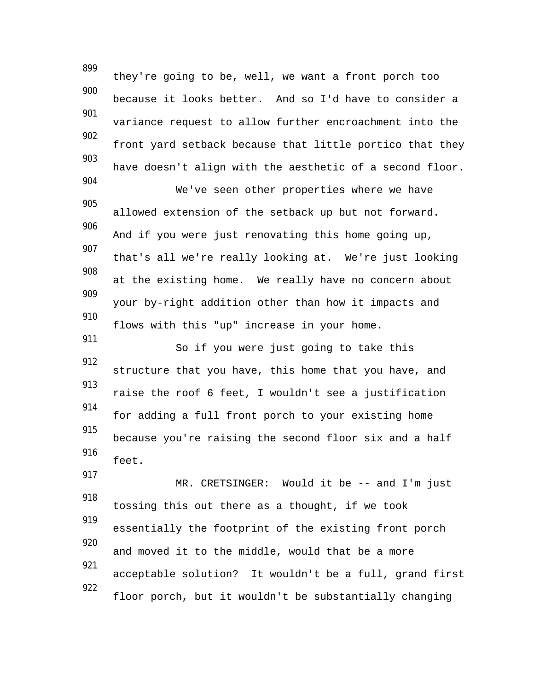899 they're going to be, well, we want a front porch too 900 because it looks better. And so I'd have to consider a 901 variance request to allow further encroachment into the 902 front yard setback because that little portico that they 903 have doesn't align with the aesthetic of a second floor. 904 We've seen other properties where we have 905 allowed extension of the setback up but not forward. 906 And if you were just renovating this home going up, 907 that's all we're really looking at. We're just looking 908 at the existing home. We really have no concern about 909 your by-right addition other than how it impacts and 910 flows with this "up" increase in your home. 911 So if you were just going to take this 912 structure that you have, this home that you have, and 913 raise the roof 6 feet, I wouldn't see a justification 914 for adding a full front porch to your existing home 915 because you're raising the second floor six and a half 916 feet. 917 MR. CRETSINGER: Would it be -- and I'm just 918 tossing this out there as a thought, if we took 919 essentially the footprint of the existing front porch 920 and moved it to the middle, would that be a more 921 acceptable solution? It wouldn't be a full, grand first 922 floor porch, but it wouldn't be substantially changing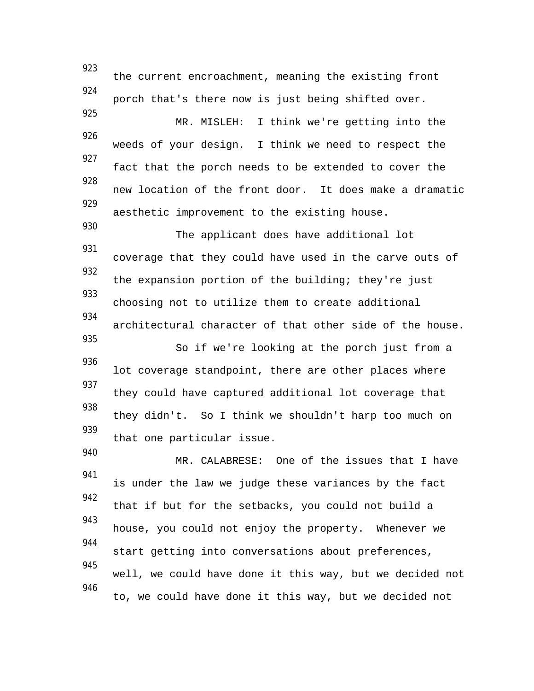923 the current encroachment, meaning the existing front 924 porch that's there now is just being shifted over. 925 MR. MISLEH: I think we're getting into the 926 weeds of your design. I think we need to respect the 927 fact that the porch needs to be extended to cover the 928 new location of the front door. It does make a dramatic 929 aesthetic improvement to the existing house. 930 The applicant does have additional lot 931 coverage that they could have used in the carve outs of 932 the expansion portion of the building; they're just 933 choosing not to utilize them to create additional 934 architectural character of that other side of the house. 935 So if we're looking at the porch just from a 936 lot coverage standpoint, there are other places where 937 they could have captured additional lot coverage that 938 they didn't. So I think we shouldn't harp too much on 939 that one particular issue. 940 MR. CALABRESE: One of the issues that I have 941 is under the law we judge these variances by the fact 942 that if but for the setbacks, you could not build a 943 house, you could not enjoy the property. Whenever we 944 start getting into conversations about preferences, 945 well, we could have done it this way, but we decided not 946 to, we could have done it this way, but we decided not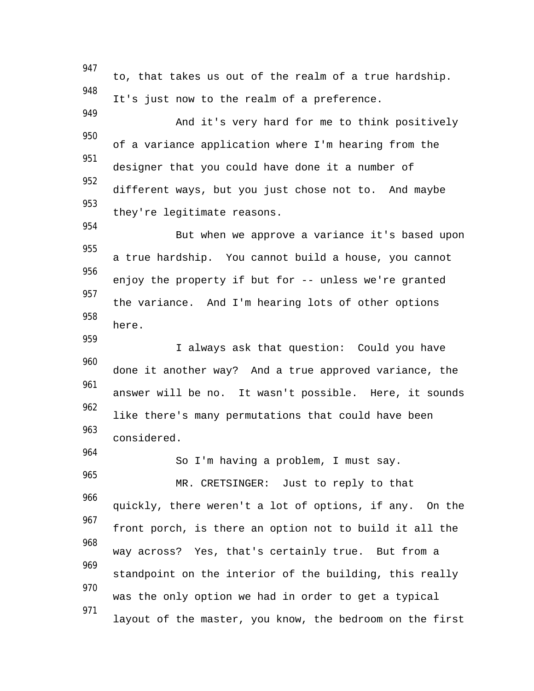947 to, that takes us out of the realm of a true hardship. 948 It's just now to the realm of a preference. 949 And it's very hard for me to think positively 950 of a variance application where I'm hearing from the 951 designer that you could have done it a number of 952 different ways, but you just chose not to. And maybe 953 they're legitimate reasons. 954 But when we approve a variance it's based upon 955 a true hardship. You cannot build a house, you cannot 956 enjoy the property if but for -- unless we're granted 957 the variance. And I'm hearing lots of other options 958 here. 959 I always ask that question: Could you have 960 done it another way? And a true approved variance, the 961 answer will be no. It wasn't possible. Here, it sounds 962 like there's many permutations that could have been 963 considered. 964 So I'm having a problem, I must say. 965 MR. CRETSINGER: Just to reply to that 966 quickly, there weren't a lot of options, if any. On the 967 front porch, is there an option not to build it all the 968 way across? Yes, that's certainly true. But from a 969 standpoint on the interior of the building, this really 970 was the only option we had in order to get a typical 971 layout of the master, you know, the bedroom on the first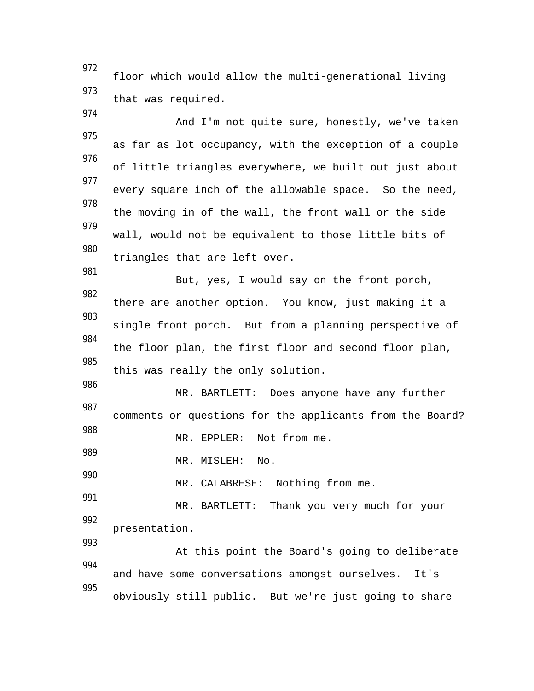972 floor which would allow the multi-generational living 973 that was required.

And I'm not quite sure, honestly, we've taken 975 as far as lot occupancy, with the exception of a couple 976 of little triangles everywhere, we built out just about 977 every square inch of the allowable space. So the need, 978 the moving in of the wall, the front wall or the side 979 wall, would not be equivalent to those little bits of 980 triangles that are left over. 981

But, yes, I would say on the front porch, 982 there are another option. You know, just making it a 983 single front porch. But from a planning perspective of 984 the floor plan, the first floor and second floor plan, 985 this was really the only solution.

986 MR. BARTLETT: Does anyone have any further 987 comments or questions for the applicants from the Board? 988

MR. EPPLER: Not from me.

989 MR. MISLEH: No.

974

990

993

MR. CALABRESE: Nothing from me.

991 MR. BARTLETT: Thank you very much for your 992 presentation.

At this point the Board's going to deliberate 994 and have some conversations amongst ourselves. It's 995 obviously still public. But we're just going to share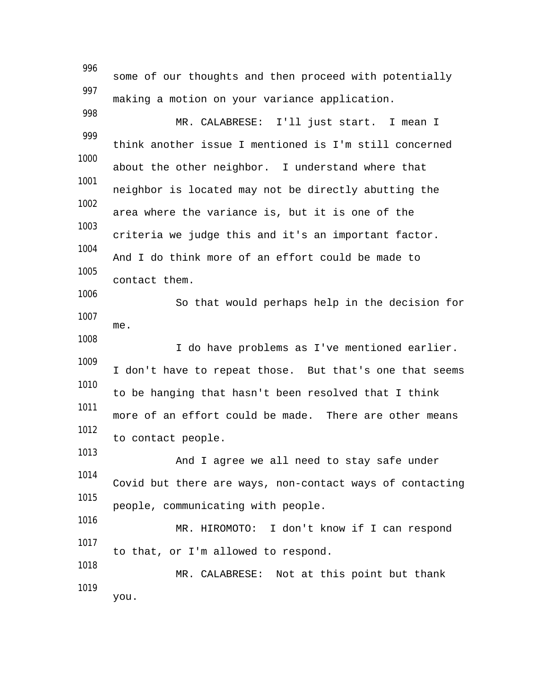996 some of our thoughts and then proceed with potentially 997 making a motion on your variance application. 998 MR. CALABRESE: I'll just start. I mean I 999 think another issue I mentioned is I'm still concerned 1000 about the other neighbor. I understand where that 1001 neighbor is located may not be directly abutting the 1002 area where the variance is, but it is one of the 1003 criteria we judge this and it's an important factor. 1004 And I do think more of an effort could be made to 1005 contact them. 1006 So that would perhaps help in the decision for 1007 me. 1008 I do have problems as I've mentioned earlier. 1009 I don't have to repeat those. But that's one that seems 1010 to be hanging that hasn't been resolved that I think 1011 more of an effort could be made. There are other means 1012 to contact people. 1013 And I agree we all need to stay safe under 1014 Covid but there are ways, non-contact ways of contacting 1015 people, communicating with people. 1016 MR. HIROMOTO: I don't know if I can respond 1017 to that, or I'm allowed to respond. 1018 MR. CALABRESE: Not at this point but thank 1019 you.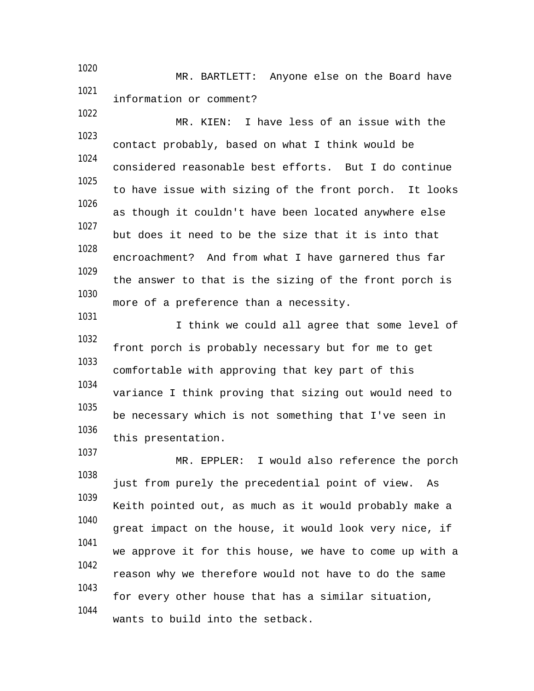1020 MR. BARTLETT: Anyone else on the Board have 1021 information or comment?

1022

1031

1037

MR. KIEN: I have less of an issue with the 1023 contact probably, based on what I think would be 1024 considered reasonable best efforts. But I do continue 1025 to have issue with sizing of the front porch. It looks 1026 as though it couldn't have been located anywhere else 1027 but does it need to be the size that it is into that 1028 encroachment? And from what I have garnered thus far 1029 the answer to that is the sizing of the front porch is 1030 more of a preference than a necessity.

I think we could all agree that some level of 1032 front porch is probably necessary but for me to get 1033 comfortable with approving that key part of this 1034 variance I think proving that sizing out would need to 1035 be necessary which is not something that I've seen in 1036 this presentation.

MR. EPPLER: I would also reference the porch 1038 just from purely the precedential point of view. As 1039 Keith pointed out, as much as it would probably make a 1040 great impact on the house, it would look very nice, if 1041 we approve it for this house, we have to come up with a 1042 reason why we therefore would not have to do the same 1043 for every other house that has a similar situation, 1044 wants to build into the setback.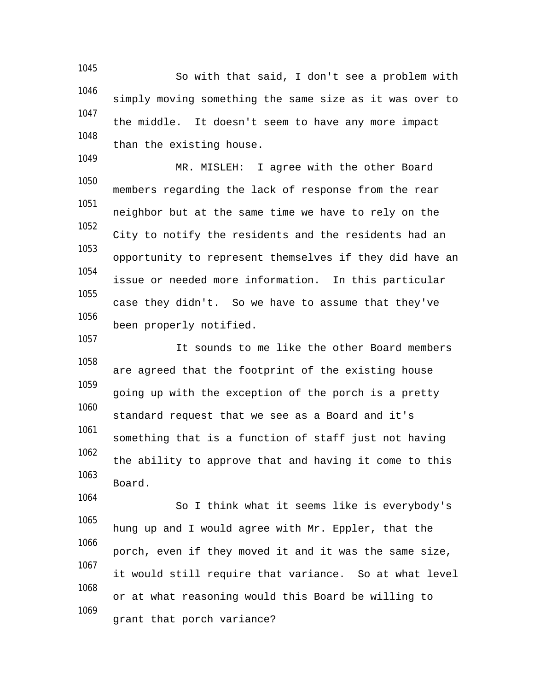1045 So with that said, I don't see a problem with 1046 simply moving something the same size as it was over to 1047 the middle. It doesn't seem to have any more impact 1048 than the existing house.

1049

1057

1064

MR. MISLEH: I agree with the other Board 1050 members regarding the lack of response from the rear 1051 neighbor but at the same time we have to rely on the 1052 City to notify the residents and the residents had an 1053 opportunity to represent themselves if they did have an 1054 issue or needed more information. In this particular 1055 case they didn't. So we have to assume that they've 1056 been properly notified.

It sounds to me like the other Board members 1058 are agreed that the footprint of the existing house 1059 going up with the exception of the porch is a pretty 1060 standard request that we see as a Board and it's 1061 something that is a function of staff just not having 1062 the ability to approve that and having it come to this 1063 Board.

So I think what it seems like is everybody's 1065 hung up and I would agree with Mr. Eppler, that the 1066 porch, even if they moved it and it was the same size, 1067 it would still require that variance. So at what level 1068 or at what reasoning would this Board be willing to 1069 grant that porch variance?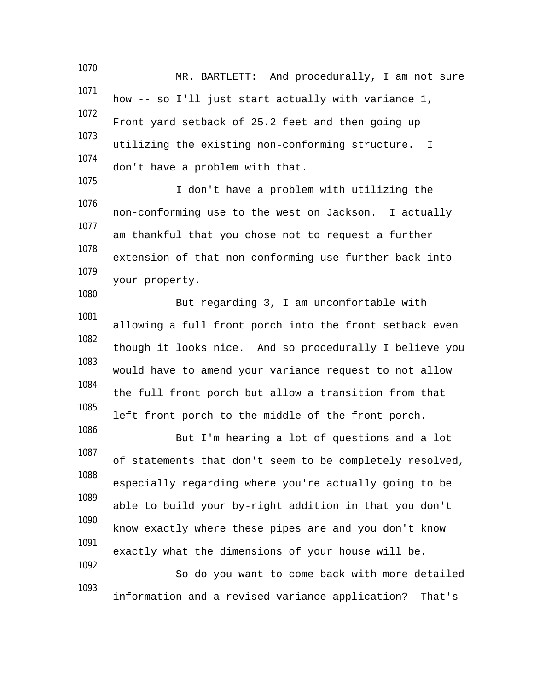1070 MR. BARTLETT: And procedurally, I am not sure 1071 how -- so I'll just start actually with variance 1, 1072 Front yard setback of 25.2 feet and then going up 1073 utilizing the existing non-conforming structure. I 1074 don't have a problem with that. 1075 I don't have a problem with utilizing the 1076 non-conforming use to the west on Jackson. I actually 1077 am thankful that you chose not to request a further 1078 extension of that non-conforming use further back into 1079 your property. 1080 But regarding 3, I am uncomfortable with 1081 allowing a full front porch into the front setback even 1082 though it looks nice. And so procedurally I believe you 1083 would have to amend your variance request to not allow 1084 the full front porch but allow a transition from that 1085 left front porch to the middle of the front porch.

But I'm hearing a lot of questions and a lot 1087 of statements that don't seem to be completely resolved, 1088 especially regarding where you're actually going to be 1089 able to build your by-right addition in that you don't 1090 know exactly where these pipes are and you don't know 1091 exactly what the dimensions of your house will be. 1092

1086

So do you want to come back with more detailed 1093 information and a revised variance application? That's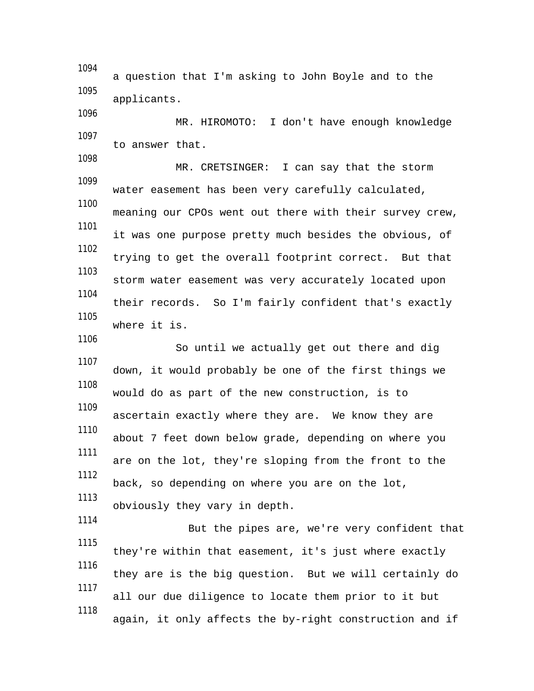1094 a question that I'm asking to John Boyle and to the 1095 applicants. 1096 MR. HIROMOTO: I don't have enough knowledge 1097 to answer that. 1098 MR. CRETSINGER: I can say that the storm 1099 water easement has been very carefully calculated, 1100 meaning our CPOs went out there with their survey crew, 1101 it was one purpose pretty much besides the obvious, of 1102 trying to get the overall footprint correct. But that 1103 storm water easement was very accurately located upon 1104 their records. So I'm fairly confident that's exactly 1105 where it is. 1106 So until we actually get out there and dig 1107 down, it would probably be one of the first things we 1108 would do as part of the new construction, is to 1109 ascertain exactly where they are. We know they are 1110 about 7 feet down below grade, depending on where you 1111 are on the lot, they're sloping from the front to the 1112 back, so depending on where you are on the lot, 1113 obviously they vary in depth. 1114 But the pipes are, we're very confident that 1115 they're within that easement, it's just where exactly 1116 they are is the big question. But we will certainly do 1117 all our due diligence to locate them prior to it but 1118 again, it only affects the by-right construction and if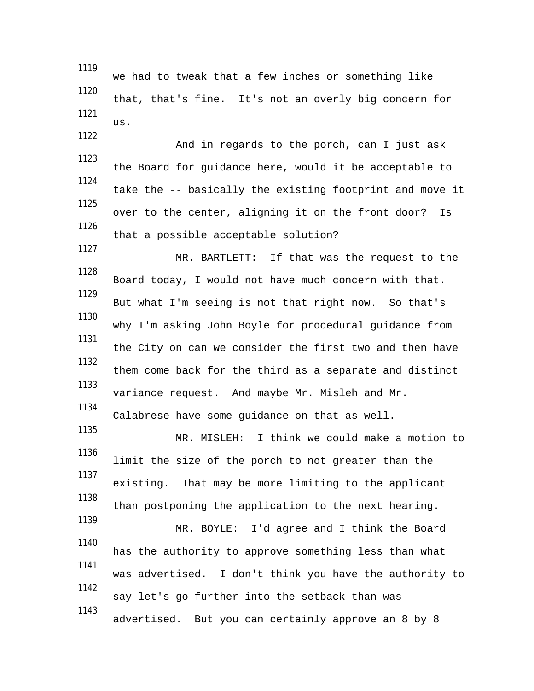1119 we had to tweak that a few inches or something like 1120 that, that's fine. It's not an overly big concern for 1121 us. 1122 And in regards to the porch, can I just ask 1123 the Board for guidance here, would it be acceptable to 1124 take the -- basically the existing footprint and move it 1125 over to the center, aligning it on the front door? Is 1126 that a possible acceptable solution? 1127 MR. BARTLETT: If that was the request to the 1128 Board today, I would not have much concern with that. 1129 But what I'm seeing is not that right now. So that's 1130 why I'm asking John Boyle for procedural guidance from 1131 the City on can we consider the first two and then have 1132 them come back for the third as a separate and distinct 1133 variance request. And maybe Mr. Misleh and Mr. 1134 Calabrese have some guidance on that as well. 1135 MR. MISLEH: I think we could make a motion to 1136 limit the size of the porch to not greater than the 1137 existing. That may be more limiting to the applicant 1138 than postponing the application to the next hearing. 1139 MR. BOYLE: I'd agree and I think the Board 1140 has the authority to approve something less than what 1141 was advertised. I don't think you have the authority to 1142 say let's go further into the setback than was 1143 advertised. But you can certainly approve an 8 by 8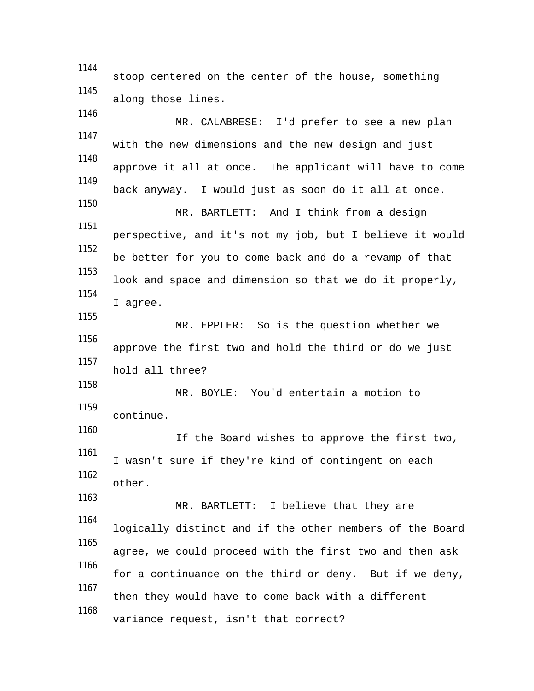1144 stoop centered on the center of the house, something 1145 along those lines. 1146 MR. CALABRESE: I'd prefer to see a new plan 1147 with the new dimensions and the new design and just 1148 approve it all at once. The applicant will have to come 1149 back anyway. I would just as soon do it all at once. 1150 MR. BARTLETT: And I think from a design 1151 perspective, and it's not my job, but I believe it would 1152 be better for you to come back and do a revamp of that 1153 look and space and dimension so that we do it properly, 1154 I agree. 1155 MR. EPPLER: So is the question whether we 1156 approve the first two and hold the third or do we just 1157 hold all three? 1158 MR. BOYLE: You'd entertain a motion to 1159 continue. 1160 If the Board wishes to approve the first two, 1161 I wasn't sure if they're kind of contingent on each 1162 other. 1163 MR. BARTLETT: I believe that they are 1164 logically distinct and if the other members of the Board 1165 agree, we could proceed with the first two and then ask 1166 for a continuance on the third or deny. But if we deny, 1167 then they would have to come back with a different 1168 variance request, isn't that correct?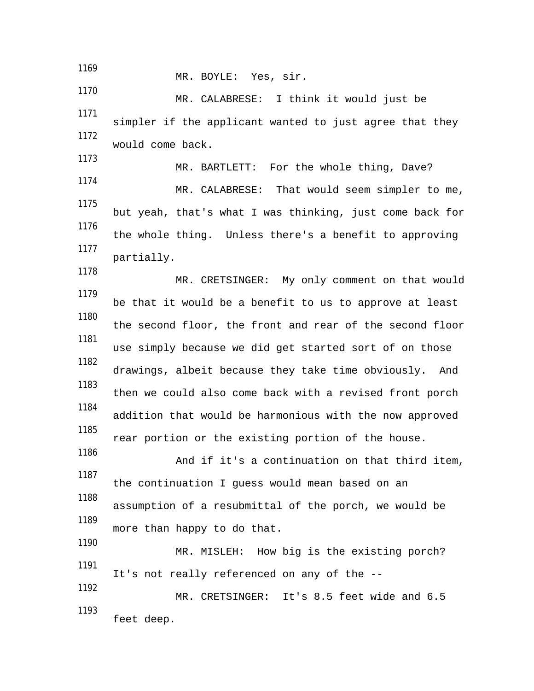1169 MR. BOYLE: Yes, sir. 1170 MR. CALABRESE: I think it would just be 1171 simpler if the applicant wanted to just agree that they 1172 would come back. 1173 MR. BARTLETT: For the whole thing, Dave? 1174 MR. CALABRESE: That would seem simpler to me, 1175 but yeah, that's what I was thinking, just come back for 1176 the whole thing. Unless there's a benefit to approving 1177 partially. 1178 MR. CRETSINGER: My only comment on that would 1179 be that it would be a benefit to us to approve at least 1180 the second floor, the front and rear of the second floor 1181 use simply because we did get started sort of on those 1182 drawings, albeit because they take time obviously. And 1183 then we could also come back with a revised front porch 1184 addition that would be harmonious with the now approved 1185 rear portion or the existing portion of the house. 1186 And if it's a continuation on that third item, 1187 the continuation I guess would mean based on an 1188 assumption of a resubmittal of the porch, we would be 1189 more than happy to do that. 1190 MR. MISLEH: How big is the existing porch? 1191 It's not really referenced on any of the -- 1192 MR. CRETSINGER: It's 8.5 feet wide and 6.5 1193 feet deep.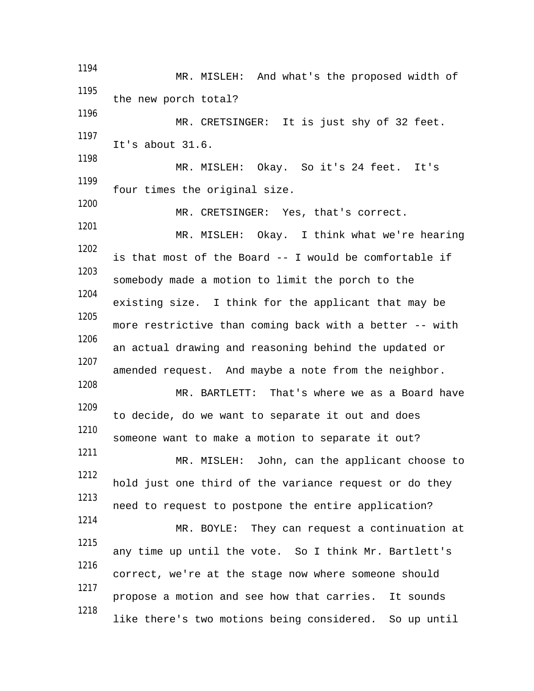1194 MR. MISLEH: And what's the proposed width of 1195 the new porch total? 1196 MR. CRETSINGER: It is just shy of 32 feet. 1197 It's about 31.6. 1198 MR. MISLEH: Okay. So it's 24 feet. It's 1199 four times the original size. 1200 MR. CRETSINGER: Yes, that's correct. 1201 MR. MISLEH: Okay. I think what we're hearing 1202 is that most of the Board -- I would be comfortable if 1203 somebody made a motion to limit the porch to the 1204 existing size. I think for the applicant that may be 1205 more restrictive than coming back with a better -- with 1206 an actual drawing and reasoning behind the updated or 1207 amended request. And maybe a note from the neighbor. 1208 MR. BARTLETT: That's where we as a Board have 1209 to decide, do we want to separate it out and does 1210 someone want to make a motion to separate it out? 1211 MR. MISLEH: John, can the applicant choose to 1212 hold just one third of the variance request or do they 1213 need to request to postpone the entire application? 1214 MR. BOYLE: They can request a continuation at 1215 any time up until the vote. So I think Mr. Bartlett's 1216 correct, we're at the stage now where someone should 1217 propose a motion and see how that carries. It sounds 1218 like there's two motions being considered. So up until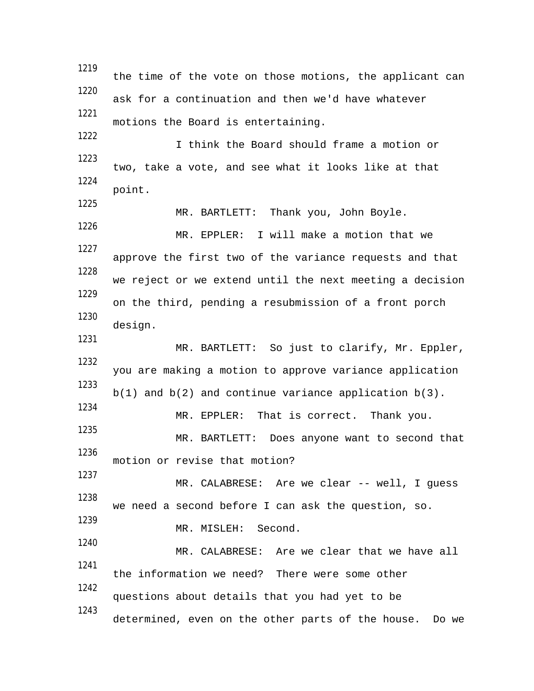1219 the time of the vote on those motions, the applicant can 1220 ask for a continuation and then we'd have whatever 1221 motions the Board is entertaining. 1222 I think the Board should frame a motion or 1223 two, take a vote, and see what it looks like at that 1224 point. 1225 MR. BARTLETT: Thank you, John Boyle. 1226 MR. EPPLER: I will make a motion that we 1227 approve the first two of the variance requests and that 1228 we reject or we extend until the next meeting a decision 1229 on the third, pending a resubmission of a front porch 1230 design. 1231 MR. BARTLETT: So just to clarify, Mr. Eppler, 1232 you are making a motion to approve variance application 1233  $b(1)$  and  $b(2)$  and continue variance application  $b(3)$ . 1234 MR. EPPLER: That is correct. Thank you. 1235 MR. BARTLETT: Does anyone want to second that 1236 motion or revise that motion? 1237 MR. CALABRESE: Are we clear -- well, I guess 1238 we need a second before I can ask the question, so. 1239 MR. MISLEH: Second. 1240 MR. CALABRESE: Are we clear that we have all 1241 the information we need? There were some other 1242 questions about details that you had yet to be 1243 determined, even on the other parts of the house. Do we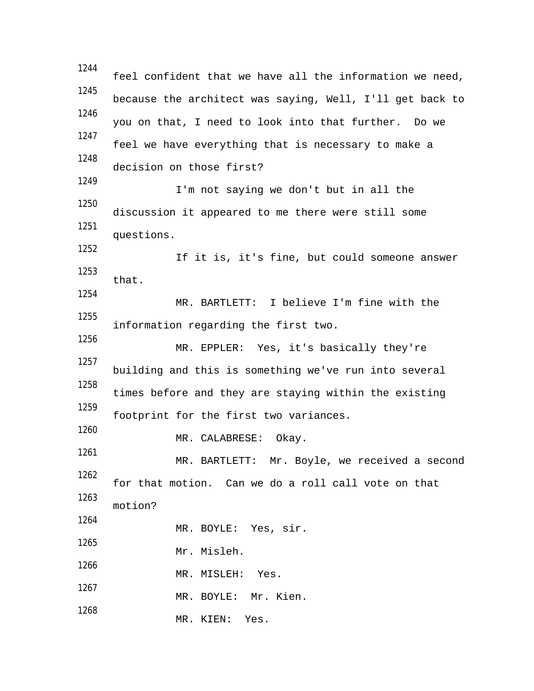1244 feel confident that we have all the information we need, 1245 because the architect was saying, Well, I'll get back to 1246 you on that, I need to look into that further. Do we 1247 feel we have everything that is necessary to make a 1248 decision on those first? 1249 I'm not saying we don't but in all the 1250 discussion it appeared to me there were still some 1251 questions. 1252 If it is, it's fine, but could someone answer 1253 that. 1254 MR. BARTLETT: I believe I'm fine with the 1255 information regarding the first two. 1256 MR. EPPLER: Yes, it's basically they're 1257 building and this is something we've run into several 1258 times before and they are staying within the existing 1259 footprint for the first two variances. 1260 MR. CALABRESE: Okay. 1261 MR. BARTLETT: Mr. Boyle, we received a second 1262 for that motion. Can we do a roll call vote on that 1263 motion? 1264 MR. BOYLE: Yes, sir. 1265 Mr. Misleh. 1266 MR. MISLEH: Yes. 1267 MR. BOYLE: Mr. Kien. 1268 MR. KIEN: Yes.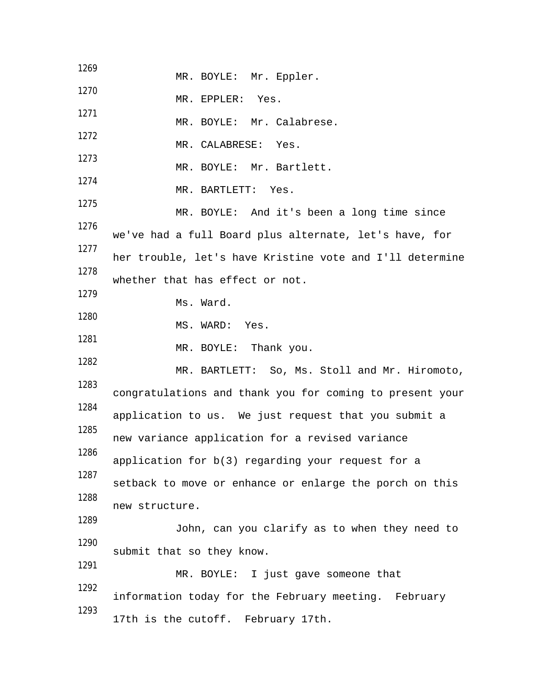| MR. BOYLE: Mr. Eppler.                                   |
|----------------------------------------------------------|
| MR. EPPLER: Yes.                                         |
| MR. BOYLE: Mr. Calabrese.                                |
| MR. CALABRESE: Yes.                                      |
| MR. BOYLE: Mr. Bartlett.                                 |
| MR. BARTLETT: Yes.                                       |
| MR. BOYLE: And it's been a long time since               |
|                                                          |
| we've had a full Board plus alternate, let's have, for   |
| her trouble, let's have Kristine vote and I'll determine |
| whether that has effect or not.                          |
| Ms. Ward.                                                |
| MS. WARD: Yes.                                           |
| MR. BOYLE: Thank you.                                    |
| MR. BARTLETT: So, Ms. Stoll and Mr. Hiromoto,            |
| congratulations and thank you for coming to present your |
| application to us. We just request that you submit a     |
| new variance application for a revised variance          |
| application for b(3) regarding your request for a        |
| setback to move or enhance or enlarge the porch on this  |
| new structure.                                           |
| John, can you clarify as to when they need to            |
| submit that so they know.                                |
| MR. BOYLE: I just gave someone that                      |
| information today for the February meeting. February     |
| 17th is the cutoff. February 17th.                       |
|                                                          |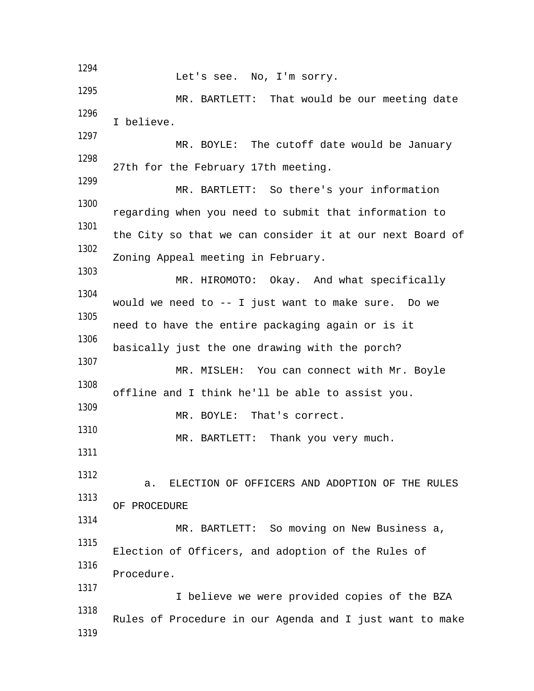1294 Let's see. No, I'm sorry. 1295 MR. BARTLETT: That would be our meeting date 1296 I believe. 1297 MR. BOYLE: The cutoff date would be January 1298 27th for the February 17th meeting. 1299 MR. BARTLETT: So there's your information 1300 regarding when you need to submit that information to 1301 the City so that we can consider it at our next Board of 1302 Zoning Appeal meeting in February. 1303 MR. HIROMOTO: Okay. And what specifically 1304 would we need to -- I just want to make sure. Do we 1305 need to have the entire packaging again or is it 1306 basically just the one drawing with the porch? 1307 MR. MISLEH: You can connect with Mr. Boyle 1308 offline and I think he'll be able to assist you. 1309 MR. BOYLE: That's correct. 1310 MR. BARTLETT: Thank you very much. 1311 1312 a. ELECTION OF OFFICERS AND ADOPTION OF THE RULES 1313 OF PROCEDURE 1314 MR. BARTLETT: So moving on New Business a, 1315 Election of Officers, and adoption of the Rules of 1316 Procedure. 1317 I believe we were provided copies of the BZA 1318 Rules of Procedure in our Agenda and I just want to make 1319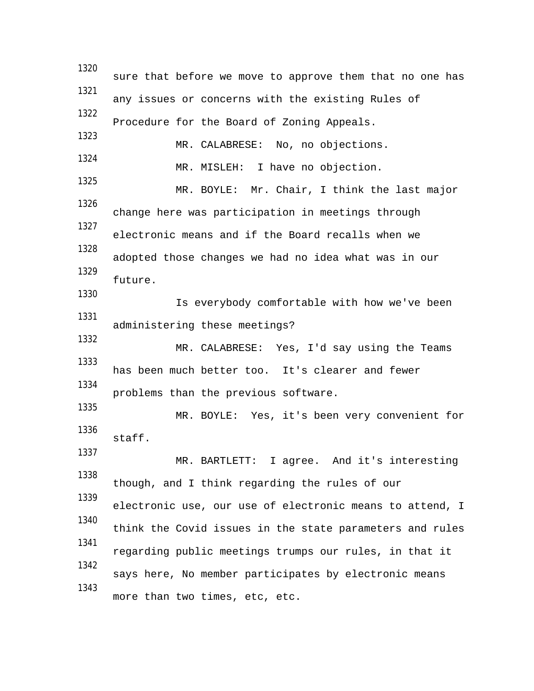1320 sure that before we move to approve them that no one has 1321 any issues or concerns with the existing Rules of 1322 Procedure for the Board of Zoning Appeals. 1323 MR. CALABRESE: No, no objections. 1324 MR. MISLEH: I have no objection. 1325 MR. BOYLE: Mr. Chair, I think the last major 1326 change here was participation in meetings through 1327 electronic means and if the Board recalls when we 1328 adopted those changes we had no idea what was in our 1329 future. 1330 Is everybody comfortable with how we've been 1331 administering these meetings? 1332 MR. CALABRESE: Yes, I'd say using the Teams 1333 has been much better too. It's clearer and fewer 1334 problems than the previous software. 1335 MR. BOYLE: Yes, it's been very convenient for 1336 staff. 1337 MR. BARTLETT: I agree. And it's interesting 1338 though, and I think regarding the rules of our 1339 electronic use, our use of electronic means to attend, I 1340 think the Covid issues in the state parameters and rules 1341 regarding public meetings trumps our rules, in that it 1342 says here, No member participates by electronic means 1343 more than two times, etc, etc.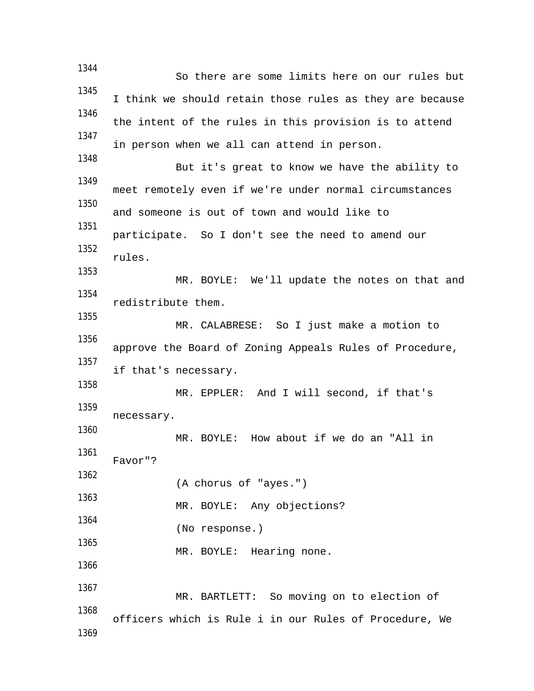1344 So there are some limits here on our rules but 1345 I think we should retain those rules as they are because 1346 the intent of the rules in this provision is to attend 1347 in person when we all can attend in person. 1348 But it's great to know we have the ability to 1349 meet remotely even if we're under normal circumstances 1350 and someone is out of town and would like to 1351 participate. So I don't see the need to amend our 1352 rules. 1353 MR. BOYLE: We'll update the notes on that and 1354 redistribute them. 1355 MR. CALABRESE: So I just make a motion to 1356 approve the Board of Zoning Appeals Rules of Procedure, 1357 if that's necessary. 1358 MR. EPPLER: And I will second, if that's 1359 necessary. 1360 MR. BOYLE: How about if we do an "All in 1361 Favor"? 1362 (A chorus of "ayes.") 1363 MR. BOYLE: Any objections? 1364 (No response.) 1365 MR. BOYLE: Hearing none. 1366 1367 MR. BARTLETT: So moving on to election of 1368 officers which is Rule i in our Rules of Procedure, We 1369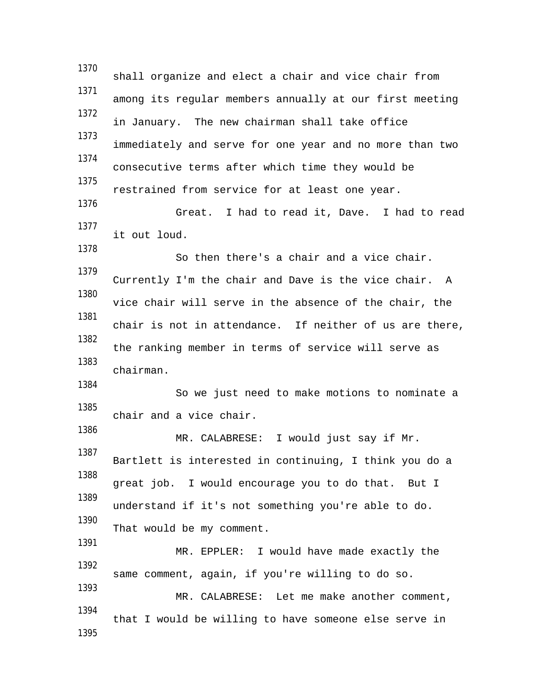1370 shall organize and elect a chair and vice chair from 1371 among its regular members annually at our first meeting 1372 in January. The new chairman shall take office 1373 immediately and serve for one year and no more than two 1374 consecutive terms after which time they would be 1375 restrained from service for at least one year. 1376 Great. I had to read it, Dave. I had to read 1377 it out loud. 1378 So then there's a chair and a vice chair. 1379 Currently I'm the chair and Dave is the vice chair. A 1380 vice chair will serve in the absence of the chair, the 1381 chair is not in attendance. If neither of us are there, 1382 the ranking member in terms of service will serve as 1383 chairman. 1384 So we just need to make motions to nominate a 1385 chair and a vice chair. 1386 MR. CALABRESE: I would just say if Mr. 1387 Bartlett is interested in continuing, I think you do a 1388 great job. I would encourage you to do that. But I 1389 understand if it's not something you're able to do. 1390 That would be my comment. 1391 MR. EPPLER: I would have made exactly the 1392 same comment, again, if you're willing to do so. 1393 MR. CALABRESE: Let me make another comment, 1394 that I would be willing to have someone else serve in 1395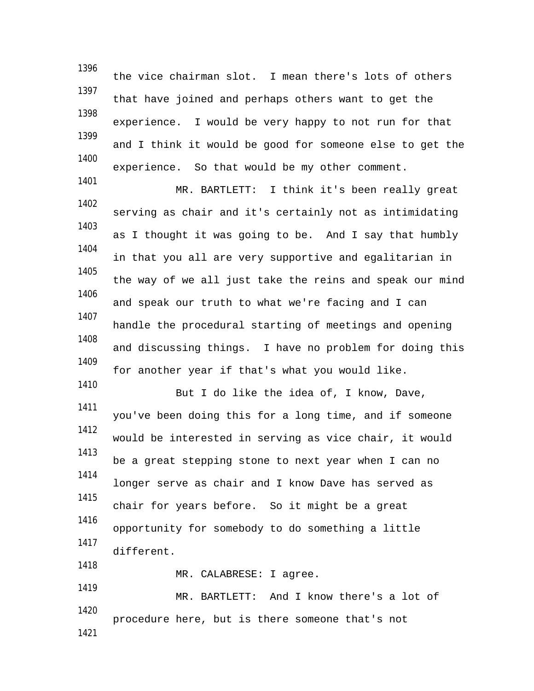1396 the vice chairman slot. I mean there's lots of others 1397 that have joined and perhaps others want to get the 1398 experience. I would be very happy to not run for that 1399 and I think it would be good for someone else to get the 1400 experience. So that would be my other comment. 1401 MR. BARTLETT: I think it's been really great 1402 serving as chair and it's certainly not as intimidating 1403 as I thought it was going to be. And I say that humbly 1404 in that you all are very supportive and egalitarian in 1405 the way of we all just take the reins and speak our mind 1406 and speak our truth to what we're facing and I can 1407 handle the procedural starting of meetings and opening 1408 and discussing things. I have no problem for doing this 1409 for another year if that's what you would like. 1410 But I do like the idea of, I know, Dave, 1411 you've been doing this for a long time, and if someone 1412

would be interested in serving as vice chair, it would 1413 be a great stepping stone to next year when I can no 1414 longer serve as chair and I know Dave has served as 1415 chair for years before. So it might be a great 1416 opportunity for somebody to do something a little 1417 different. 1418

MR. CALABRESE: I agree.

1419 MR. BARTLETT: And I know there's a lot of 1420 procedure here, but is there someone that's not 1421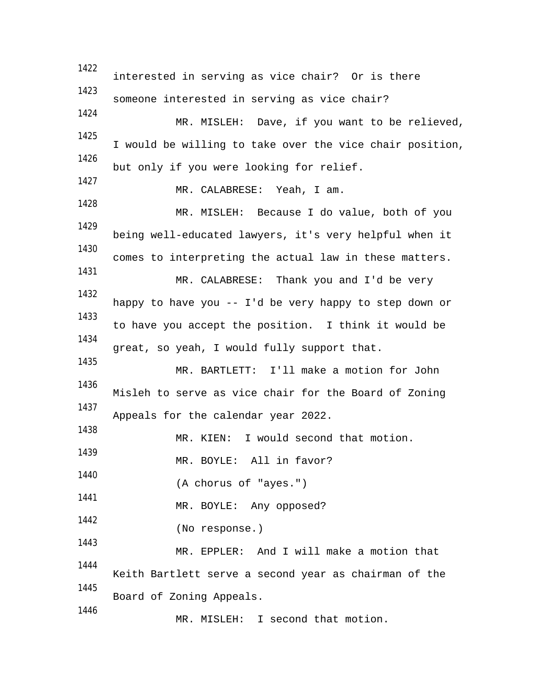1422 interested in serving as vice chair? Or is there 1423 someone interested in serving as vice chair? 1424 MR. MISLEH: Dave, if you want to be relieved, 1425 I would be willing to take over the vice chair position, 1426 but only if you were looking for relief. 1427 MR. CALABRESE: Yeah, I am. 1428 MR. MISLEH: Because I do value, both of you 1429 being well-educated lawyers, it's very helpful when it 1430 comes to interpreting the actual law in these matters. 1431 MR. CALABRESE: Thank you and I'd be very 1432 happy to have you -- I'd be very happy to step down or 1433 to have you accept the position. I think it would be 1434 great, so yeah, I would fully support that. 1435 MR. BARTLETT: I'll make a motion for John 1436 Misleh to serve as vice chair for the Board of Zoning 1437 Appeals for the calendar year 2022. 1438 MR. KIEN: I would second that motion. 1439 MR. BOYLE: All in favor? 1440 (A chorus of "ayes.") 1441 MR. BOYLE: Any opposed? 1442 (No response.) 1443 MR. EPPLER: And I will make a motion that 1444 Keith Bartlett serve a second year as chairman of the 1445 Board of Zoning Appeals. 1446 MR. MISLEH: I second that motion.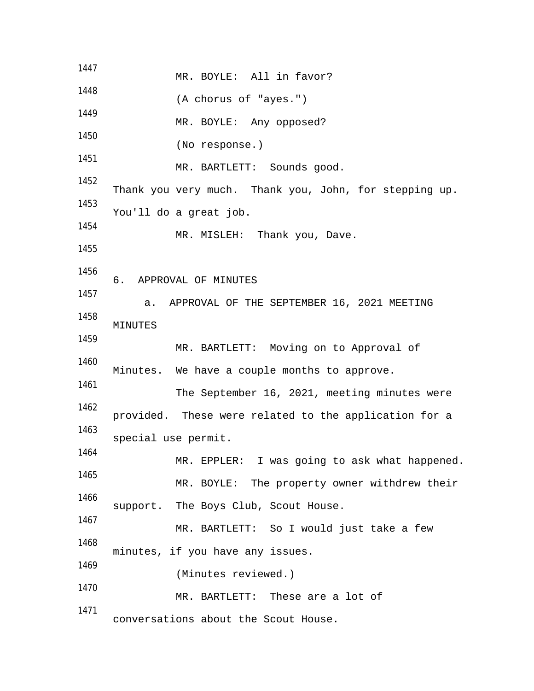1447 MR. BOYLE: All in favor? 1448 (A chorus of "ayes.") 1449 MR. BOYLE: Any opposed? 1450 (No response.) 1451 MR. BARTLETT: Sounds good. 1452 Thank you very much. Thank you, John, for stepping up. 1453 You'll do a great job. 1454 MR. MISLEH: Thank you, Dave. 1455 1456 6. APPROVAL OF MINUTES 1457 a. APPROVAL OF THE SEPTEMBER 16, 2021 MEETING 1458 MINUTES 1459 MR. BARTLETT: Moving on to Approval of 1460 Minutes. We have a couple months to approve. 1461 The September 16, 2021, meeting minutes were 1462 provided. These were related to the application for a 1463 special use permit. 1464 MR. EPPLER: I was going to ask what happened. 1465 MR. BOYLE: The property owner withdrew their 1466 support. The Boys Club, Scout House. 1467 MR. BARTLETT: So I would just take a few 1468 minutes, if you have any issues. 1469 (Minutes reviewed.) 1470 MR. BARTLETT: These are a lot of 1471 conversations about the Scout House.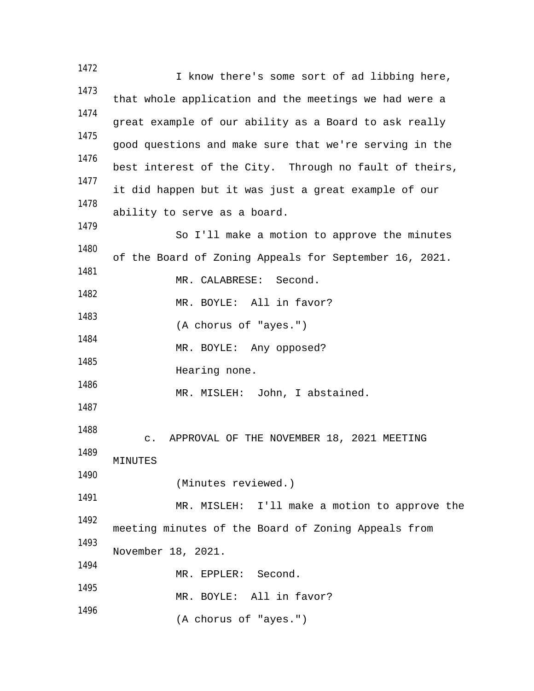1472 I know there's some sort of ad libbing here, 1473 that whole application and the meetings we had were a 1474 great example of our ability as a Board to ask really 1475 good questions and make sure that we're serving in the 1476 best interest of the City. Through no fault of theirs, 1477 it did happen but it was just a great example of our 1478 ability to serve as a board. 1479 So I'll make a motion to approve the minutes 1480 of the Board of Zoning Appeals for September 16, 2021. 1481 MR. CALABRESE: Second. 1482 MR. BOYLE: All in favor? 1483 (A chorus of "ayes.") 1484 MR. BOYLE: Any opposed? 1485 Hearing none. 1486 MR. MISLEH: John, I abstained. 1487 1488 c. APPROVAL OF THE NOVEMBER 18, 2021 MEETING 1489 MINUTES 1490 (Minutes reviewed.) 1491 MR. MISLEH: I'll make a motion to approve the 1492 meeting minutes of the Board of Zoning Appeals from 1493 November 18, 2021. 1494 MR. EPPLER: Second. 1495 MR. BOYLE: All in favor? 1496 (A chorus of "ayes.")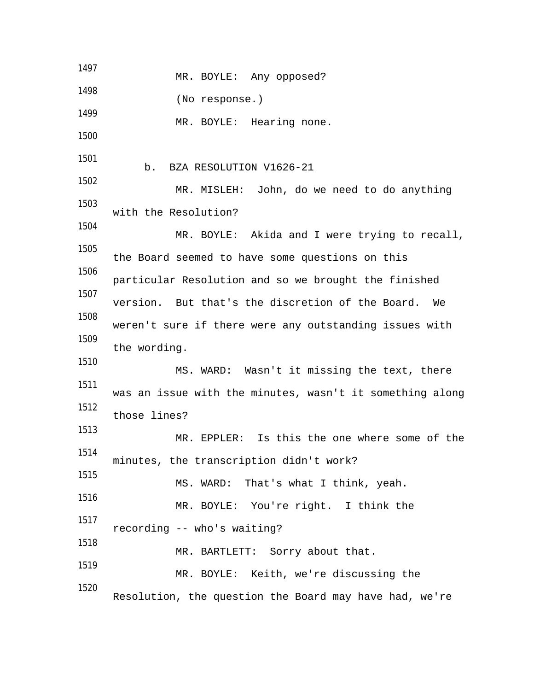1497 MR. BOYLE: Any opposed? 1498 (No response.) 1499 MR. BOYLE: Hearing none. 1500 1501 b. BZA RESOLUTION V1626-21 1502 MR. MISLEH: John, do we need to do anything 1503 with the Resolution? 1504 MR. BOYLE: Akida and I were trying to recall, 1505 the Board seemed to have some questions on this 1506 particular Resolution and so we brought the finished 1507 version. But that's the discretion of the Board. We 1508 weren't sure if there were any outstanding issues with 1509 the wording. 1510 MS. WARD: Wasn't it missing the text, there 1511 was an issue with the minutes, wasn't it something along 1512 those lines? 1513 MR. EPPLER: Is this the one where some of the 1514 minutes, the transcription didn't work? 1515 MS. WARD: That's what I think, yeah. 1516 MR. BOYLE: You're right. I think the 1517 recording -- who's waiting? 1518 MR. BARTLETT: Sorry about that. 1519 MR. BOYLE: Keith, we're discussing the 1520 Resolution, the question the Board may have had, we're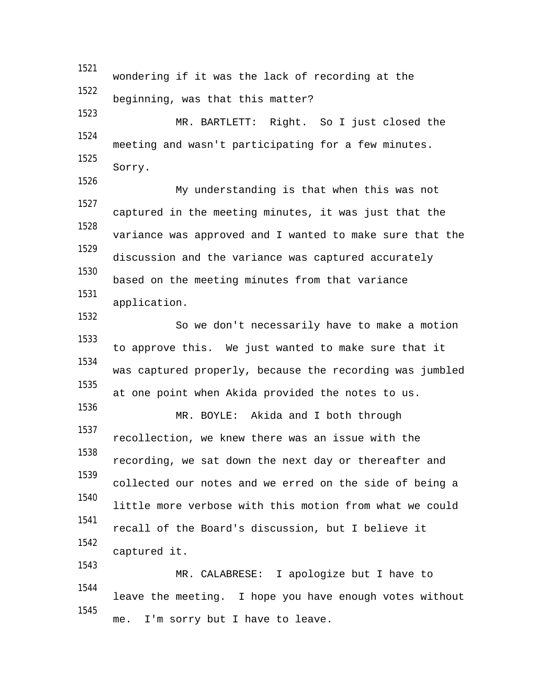1521 wondering if it was the lack of recording at the 1522 beginning, was that this matter? 1523 MR. BARTLETT: Right. So I just closed the 1524 meeting and wasn't participating for a few minutes. 1525 Sorry. 1526 My understanding is that when this was not 1527 captured in the meeting minutes, it was just that the 1528 variance was approved and I wanted to make sure that the 1529 discussion and the variance was captured accurately 1530 based on the meeting minutes from that variance 1531 application. 1532 So we don't necessarily have to make a motion 1533 to approve this. We just wanted to make sure that it 1534 was captured properly, because the recording was jumbled 1535 at one point when Akida provided the notes to us. 1536 MR. BOYLE: Akida and I both through 1537 recollection, we knew there was an issue with the 1538 recording, we sat down the next day or thereafter and 1539 collected our notes and we erred on the side of being a 1540 little more verbose with this motion from what we could 1541 recall of the Board's discussion, but I believe it 1542 captured it. 1543 MR. CALABRESE: I apologize but I have to 1544 leave the meeting. I hope you have enough votes without 1545 me. I'm sorry but I have to leave.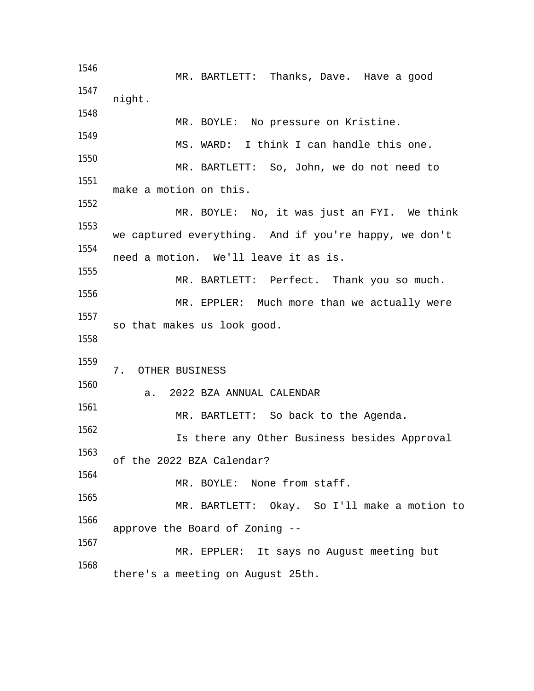1546 MR. BARTLETT: Thanks, Dave. Have a good 1547 night. 1548 MR. BOYLE: No pressure on Kristine. 1549 MS. WARD: I think I can handle this one. 1550 MR. BARTLETT: So, John, we do not need to 1551 make a motion on this. 1552 MR. BOYLE: No, it was just an FYI. We think 1553 we captured everything. And if you're happy, we don't 1554 need a motion. We'll leave it as is. 1555 MR. BARTLETT: Perfect. Thank you so much. 1556 MR. EPPLER: Much more than we actually were 1557 so that makes us look good. 1558 1559 7. OTHER BUSINESS 1560 a. 2022 BZA ANNUAL CALENDAR 1561 MR. BARTLETT: So back to the Agenda. 1562 Is there any Other Business besides Approval 1563 of the 2022 BZA Calendar? 1564 MR. BOYLE: None from staff. 1565 MR. BARTLETT: Okay. So I'll make a motion to 1566 approve the Board of Zoning -- 1567 MR. EPPLER: It says no August meeting but 1568 there's a meeting on August 25th.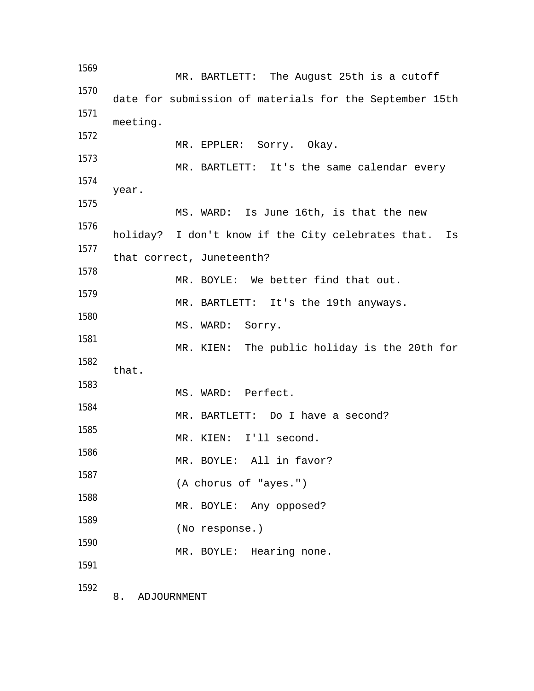1569 MR. BARTLETT: The August 25th is a cutoff 1570 date for submission of materials for the September 15th 1571 meeting. 1572 MR. EPPLER: Sorry. Okay. 1573 MR. BARTLETT: It's the same calendar every 1574 year. 1575 MS. WARD: Is June 16th, is that the new 1576 holiday? I don't know if the City celebrates that. Is 1577 that correct, Juneteenth? 1578 MR. BOYLE: We better find that out. 1579 MR. BARTLETT: It's the 19th anyways. 1580 MS. WARD: Sorry. 1581 MR. KIEN: The public holiday is the 20th for 1582 that. 1583 MS. WARD: Perfect. 1584 MR. BARTLETT: Do I have a second? 1585 MR. KIEN: I'll second. 1586 MR. BOYLE: All in favor? 1587 (A chorus of "ayes.") 1588 MR. BOYLE: Any opposed? 1589 (No response.) 1590 MR. BOYLE: Hearing none. 1591 1592 8. ADJOURNMENT